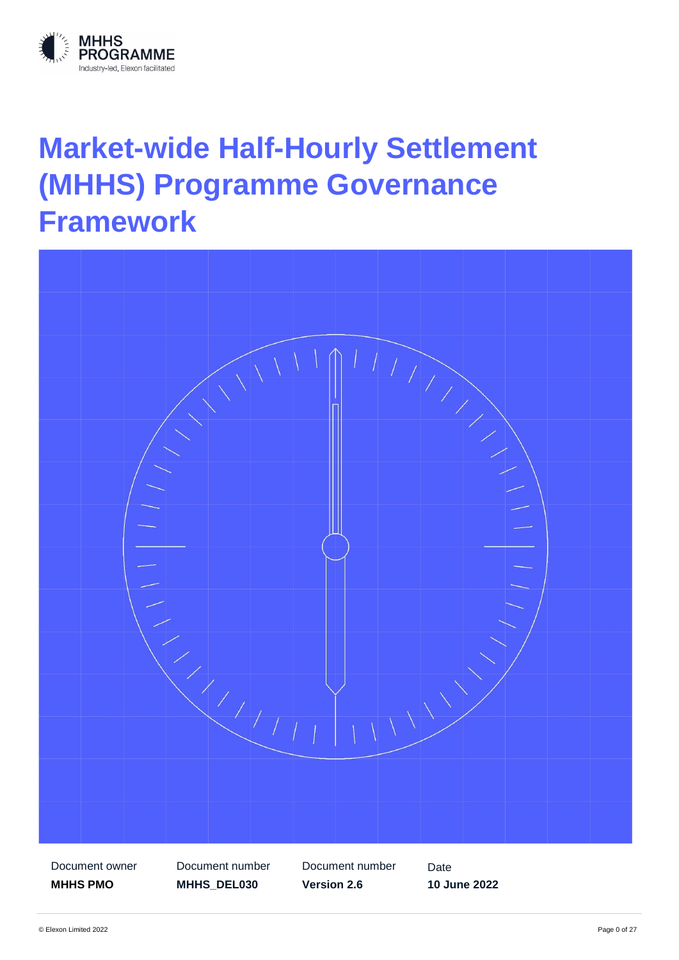

# **Market-wide Half-Hourly Settlement (MHHS) Programme Governance Framework**

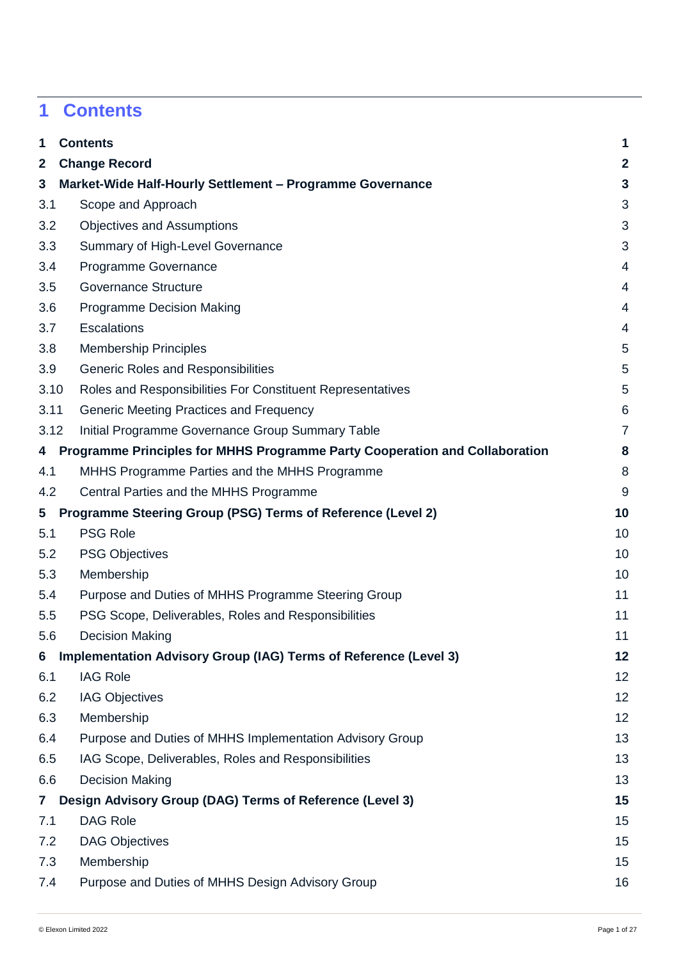# <span id="page-1-0"></span>**1 Contents**

| 1                       | <b>Contents</b>                                                             | $\mathbf 1$    |
|-------------------------|-----------------------------------------------------------------------------|----------------|
| $\mathbf{2}$            | <b>Change Record</b>                                                        | $\overline{2}$ |
| 3                       | Market-Wide Half-Hourly Settlement - Programme Governance                   | $\mathbf{3}$   |
| 3.1                     | Scope and Approach                                                          | 3              |
| 3.2                     | <b>Objectives and Assumptions</b>                                           | 3              |
| 3.3                     | Summary of High-Level Governance                                            | 3              |
| 3.4                     | Programme Governance                                                        | 4              |
| 3.5                     | <b>Governance Structure</b>                                                 | 4              |
| 3.6                     | <b>Programme Decision Making</b>                                            | 4              |
| 3.7                     | <b>Escalations</b>                                                          | 4              |
| 3.8                     | <b>Membership Principles</b>                                                | 5              |
| 3.9                     | <b>Generic Roles and Responsibilities</b>                                   | 5              |
| 3.10                    | Roles and Responsibilities For Constituent Representatives                  | 5              |
| 3.11                    | Generic Meeting Practices and Frequency                                     | 6              |
| 3.12                    | Initial Programme Governance Group Summary Table                            | $\overline{7}$ |
| 4                       | Programme Principles for MHHS Programme Party Cooperation and Collaboration | 8              |
| 4.1                     | MHHS Programme Parties and the MHHS Programme                               | 8              |
| 4.2                     | Central Parties and the MHHS Programme                                      | 9              |
| 5                       | Programme Steering Group (PSG) Terms of Reference (Level 2)                 | 10             |
| 5.1                     | <b>PSG Role</b>                                                             | 10             |
| 5.2                     | <b>PSG Objectives</b>                                                       | 10             |
| 5.3                     | Membership                                                                  | 10             |
| 5.4                     | Purpose and Duties of MHHS Programme Steering Group                         | 11             |
| 5.5                     | PSG Scope, Deliverables, Roles and Responsibilities                         | 11             |
| 5.6                     | <b>Decision Making</b>                                                      | 11             |
| 6                       | Implementation Advisory Group (IAG) Terms of Reference (Level 3)            | 12             |
| 6.1                     | <b>IAG Role</b>                                                             | 12             |
| 6.2                     | <b>IAG Objectives</b>                                                       | 12             |
| 6.3                     | Membership                                                                  | 12             |
| 6.4                     | Purpose and Duties of MHHS Implementation Advisory Group                    | 13             |
| 6.5                     | IAG Scope, Deliverables, Roles and Responsibilities                         | 13             |
| 6.6                     | <b>Decision Making</b>                                                      | 13             |
| $\overline{\mathbf{r}}$ | Design Advisory Group (DAG) Terms of Reference (Level 3)                    | 15             |
| 7.1                     | <b>DAG Role</b>                                                             | 15             |
| 7.2                     | <b>DAG Objectives</b>                                                       | 15             |
| 7.3                     | Membership                                                                  | 15             |
| 7.4                     | Purpose and Duties of MHHS Design Advisory Group                            | 16             |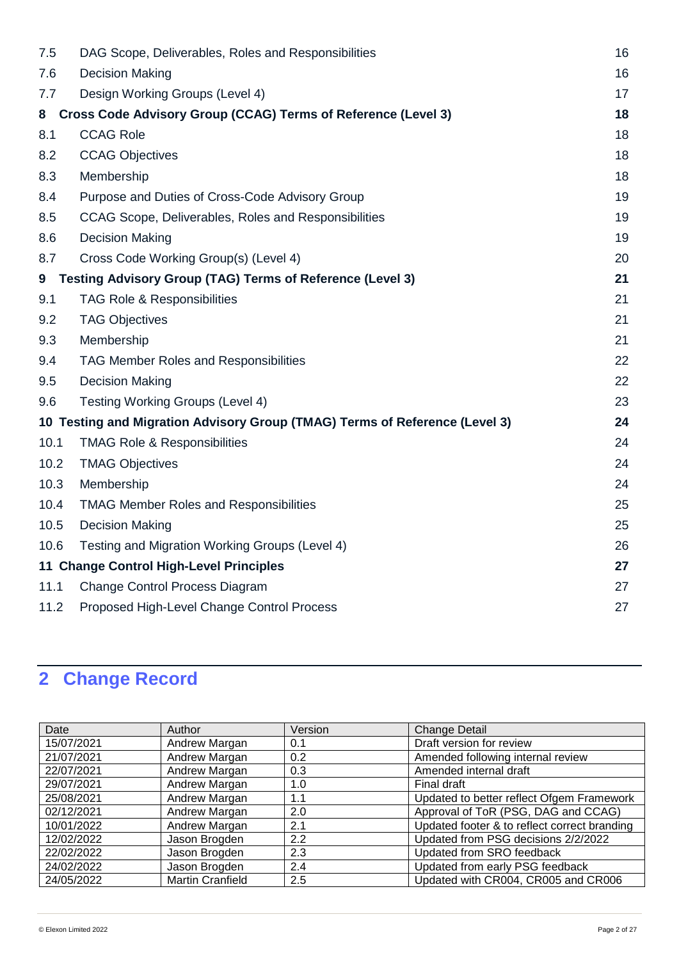| 7.5  | DAG Scope, Deliverables, Roles and Responsibilities                         | 16 |
|------|-----------------------------------------------------------------------------|----|
| 7.6  | <b>Decision Making</b>                                                      | 16 |
| 7.7  | Design Working Groups (Level 4)                                             | 17 |
| 8    | <b>Cross Code Advisory Group (CCAG) Terms of Reference (Level 3)</b>        | 18 |
| 8.1  | <b>CCAG Role</b>                                                            | 18 |
| 8.2  | <b>CCAG Objectives</b>                                                      | 18 |
| 8.3  | Membership                                                                  | 18 |
| 8.4  | Purpose and Duties of Cross-Code Advisory Group                             | 19 |
| 8.5  | CCAG Scope, Deliverables, Roles and Responsibilities                        | 19 |
| 8.6  | <b>Decision Making</b>                                                      | 19 |
| 8.7  | Cross Code Working Group(s) (Level 4)                                       | 20 |
| 9    | <b>Testing Advisory Group (TAG) Terms of Reference (Level 3)</b>            | 21 |
| 9.1  | TAG Role & Responsibilities                                                 | 21 |
| 9.2  | <b>TAG Objectives</b>                                                       | 21 |
| 9.3  | Membership                                                                  | 21 |
| 9.4  | TAG Member Roles and Responsibilities                                       | 22 |
| 9.5  | <b>Decision Making</b>                                                      | 22 |
| 9.6  | <b>Testing Working Groups (Level 4)</b>                                     | 23 |
|      | 10 Testing and Migration Advisory Group (TMAG) Terms of Reference (Level 3) | 24 |
| 10.1 | <b>TMAG Role &amp; Responsibilities</b>                                     | 24 |
| 10.2 | <b>TMAG Objectives</b>                                                      | 24 |
| 10.3 | Membership                                                                  | 24 |
| 10.4 | <b>TMAG Member Roles and Responsibilities</b>                               | 25 |
| 10.5 | <b>Decision Making</b>                                                      | 25 |
| 10.6 | Testing and Migration Working Groups (Level 4)                              | 26 |
|      | 11 Change Control High-Level Principles                                     | 27 |
| 11.1 | <b>Change Control Process Diagram</b>                                       | 27 |
| 11.2 | Proposed High-Level Change Control Process                                  | 27 |

# <span id="page-2-0"></span>**2 Change Record**

| Date       | Author                  | Version | <b>Change Detail</b>                         |
|------------|-------------------------|---------|----------------------------------------------|
| 15/07/2021 | Andrew Margan           | 0.1     | Draft version for review                     |
| 21/07/2021 | Andrew Margan           | 0.2     | Amended following internal review            |
| 22/07/2021 | Andrew Margan           | 0.3     | Amended internal draft                       |
| 29/07/2021 | Andrew Margan           | 1.0     | Final draft                                  |
| 25/08/2021 | Andrew Margan           | 1.1     | Updated to better reflect Ofgem Framework    |
| 02/12/2021 | Andrew Margan           | 2.0     | Approval of ToR (PSG, DAG and CCAG)          |
| 10/01/2022 | Andrew Margan           | 2.1     | Updated footer & to reflect correct branding |
| 12/02/2022 | Jason Brogden           | 2.2     | Updated from PSG decisions 2/2/2022          |
| 22/02/2022 | Jason Brogden           | 2.3     | Updated from SRO feedback                    |
| 24/02/2022 | Jason Brogden           | 2.4     | Updated from early PSG feedback              |
| 24/05/2022 | <b>Martin Cranfield</b> | 2.5     | Updated with CR004, CR005 and CR006          |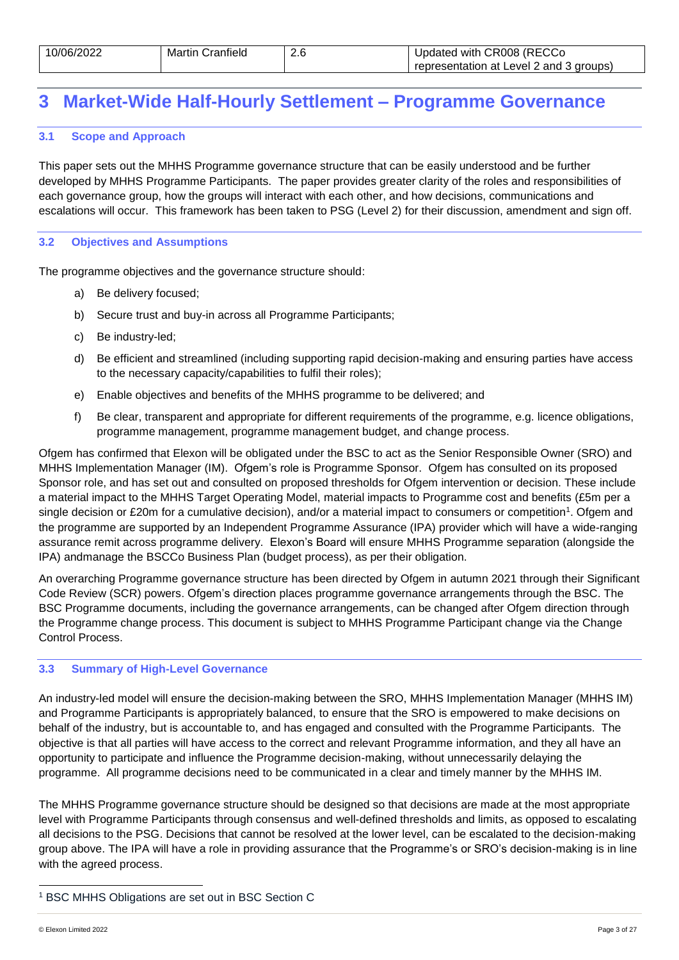| 10/06/2022 | <b>Martin Cranfield</b> | 2.6 | Updated with CR008 (RECCo               |
|------------|-------------------------|-----|-----------------------------------------|
|            |                         |     | representation at Level 2 and 3 groups) |

### <span id="page-3-0"></span>**3 Market-Wide Half-Hourly Settlement – Programme Governance**

### <span id="page-3-1"></span>**3.1 Scope and Approach**

This paper sets out the MHHS Programme governance structure that can be easily understood and be further developed by MHHS Programme Participants. The paper provides greater clarity of the roles and responsibilities of each governance group, how the groups will interact with each other, and how decisions, communications and escalations will occur. This framework has been taken to PSG (Level 2) for their discussion, amendment and sign off.

### <span id="page-3-2"></span>**3.2 Objectives and Assumptions**

The programme objectives and the governance structure should:

- a) Be delivery focused;
- b) Secure trust and buy-in across all Programme Participants;
- c) Be industry-led;
- d) Be efficient and streamlined (including supporting rapid decision-making and ensuring parties have access to the necessary capacity/capabilities to fulfil their roles);
- e) Enable objectives and benefits of the MHHS programme to be delivered; and
- f) Be clear, transparent and appropriate for different requirements of the programme, e.g. licence obligations, programme management, programme management budget, and change process.

Ofgem has confirmed that Elexon will be obligated under the BSC to act as the Senior Responsible Owner (SRO) and MHHS Implementation Manager (IM). Ofgem's role is Programme Sponsor. Ofgem has consulted on its proposed Sponsor role, and has set out and consulted on proposed thresholds for Ofgem intervention or decision. These include a material impact to the MHHS Target Operating Model, material impacts to Programme cost and benefits (£5m per a single decision or £20m for a cumulative decision), and/or a material impact to consumers or competition<sup>1</sup>. Ofgem and the programme are supported by an Independent Programme Assurance (IPA) provider which will have a wide-ranging assurance remit across programme delivery. Elexon's Board will ensure MHHS Programme separation (alongside the IPA) andmanage the BSCCo Business Plan (budget process), as per their obligation.

An overarching Programme governance structure has been directed by Ofgem in autumn 2021 through their Significant Code Review (SCR) powers. Ofgem's direction places programme governance arrangements through the BSC. The BSC Programme documents, including the governance arrangements, can be changed after Ofgem direction through the Programme change process. This document is subject to MHHS Programme Participant change via the Change Control Process.

### <span id="page-3-3"></span>**3.3 Summary of High-Level Governance**

An industry-led model will ensure the decision-making between the SRO, MHHS Implementation Manager (MHHS IM) and Programme Participants is appropriately balanced, to ensure that the SRO is empowered to make decisions on behalf of the industry, but is accountable to, and has engaged and consulted with the Programme Participants. The objective is that all parties will have access to the correct and relevant Programme information, and they all have an opportunity to participate and influence the Programme decision-making, without unnecessarily delaying the programme. All programme decisions need to be communicated in a clear and timely manner by the MHHS IM.

The MHHS Programme governance structure should be designed so that decisions are made at the most appropriate level with Programme Participants through consensus and well-defined thresholds and limits, as opposed to escalating all decisions to the PSG. Decisions that cannot be resolved at the lower level, can be escalated to the decision-making group above. The IPA will have a role in providing assurance that the Programme's or SRO's decision-making is in line with the agreed process.

l

<sup>1</sup> BSC MHHS Obligations are set out in BSC Section C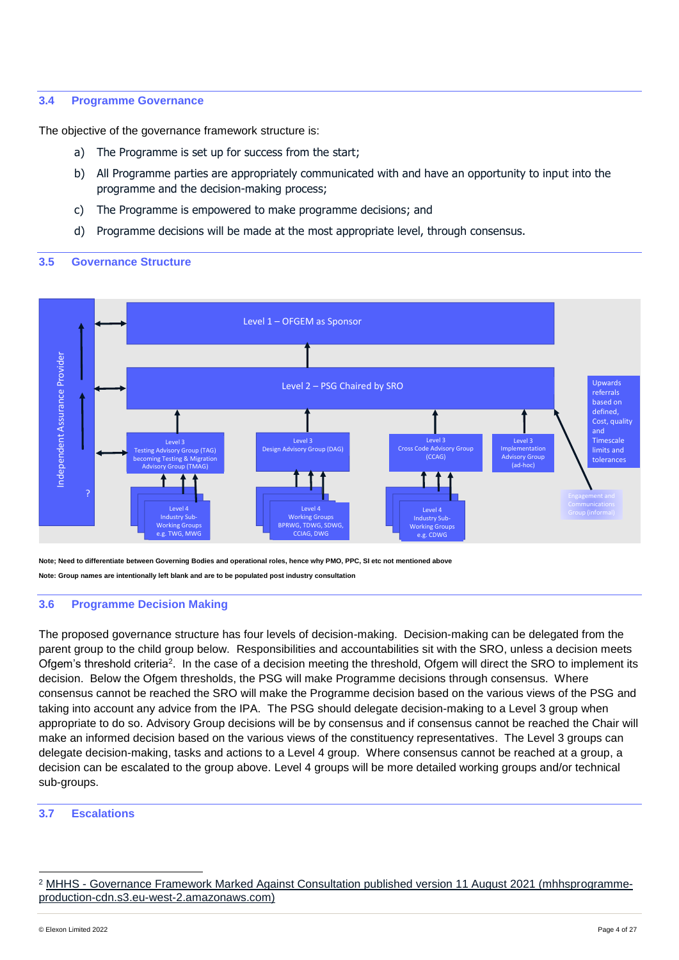### <span id="page-4-0"></span>**3.4 Programme Governance**

The objective of the governance framework structure is:

- a) The Programme is set up for success from the start;
- b) All Programme parties are appropriately communicated with and have an opportunity to input into the programme and the decision-making process;
- c) The Programme is empowered to make programme decisions; and
- d) Programme decisions will be made at the most appropriate level, through consensus.

### <span id="page-4-1"></span>**3.5 Governance Structure**



**Note; Need to differentiate between Governing Bodies and operational roles, hence why PMO, PPC, SI etc not mentioned above Note: Group names are intentionally left blank and are to be populated post industry consultation** 

### <span id="page-4-2"></span>**3.6 Programme Decision Making**

The proposed governance structure has four levels of decision-making. Decision-making can be delegated from the parent group to the child group below. Responsibilities and accountabilities sit with the SRO, unless a decision meets Ofgem's threshold criteria<sup>2</sup>. In the case of a decision meeting the threshold, Ofgem will direct the SRO to implement its decision. Below the Ofgem thresholds, the PSG will make Programme decisions through consensus. Where consensus cannot be reached the SRO will make the Programme decision based on the various views of the PSG and taking into account any advice from the IPA. The PSG should delegate decision-making to a Level 3 group when appropriate to do so. Advisory Group decisions will be by consensus and if consensus cannot be reached the Chair will make an informed decision based on the various views of the constituency representatives. The Level 3 groups can delegate decision-making, tasks and actions to a Level 4 group. Where consensus cannot be reached at a group, a decision can be escalated to the group above. Level 4 groups will be more detailed working groups and/or technical sub-groups.

### <span id="page-4-3"></span>**3.7 Escalations**

l

<sup>&</sup>lt;sup>2</sup> MHHS - [Governance Framework Marked Against Consultation published version 11 August 2021 \(mhhsprogramme](https://mhhsprogramme-production-cdn.s3.eu-west-2.amazonaws.com/wp-content/uploads/2021/11/03135727/MHHS-Governance-Framework-1-November-2021.pdf)[production-cdn.s3.eu-west-2.amazonaws.com\)](https://mhhsprogramme-production-cdn.s3.eu-west-2.amazonaws.com/wp-content/uploads/2021/11/03135727/MHHS-Governance-Framework-1-November-2021.pdf)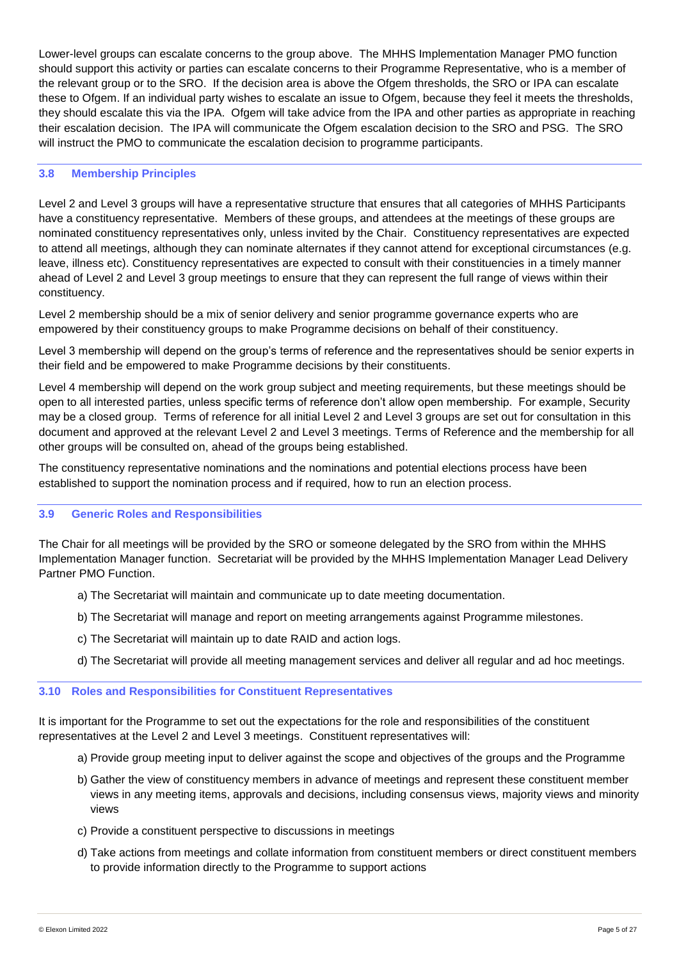Lower-level groups can escalate concerns to the group above. The MHHS Implementation Manager PMO function should support this activity or parties can escalate concerns to their Programme Representative, who is a member of the relevant group or to the SRO. If the decision area is above the Ofgem thresholds, the SRO or IPA can escalate these to Ofgem. If an individual party wishes to escalate an issue to Ofgem, because they feel it meets the thresholds, they should escalate this via the IPA. Ofgem will take advice from the IPA and other parties as appropriate in reaching their escalation decision. The IPA will communicate the Ofgem escalation decision to the SRO and PSG. The SRO will instruct the PMO to communicate the escalation decision to programme participants.

### <span id="page-5-0"></span>**3.8 Membership Principles**

Level 2 and Level 3 groups will have a representative structure that ensures that all categories of MHHS Participants have a constituency representative. Members of these groups, and attendees at the meetings of these groups are nominated constituency representatives only, unless invited by the Chair. Constituency representatives are expected to attend all meetings, although they can nominate alternates if they cannot attend for exceptional circumstances (e.g. leave, illness etc). Constituency representatives are expected to consult with their constituencies in a timely manner ahead of Level 2 and Level 3 group meetings to ensure that they can represent the full range of views within their constituency.

Level 2 membership should be a mix of senior delivery and senior programme governance experts who are empowered by their constituency groups to make Programme decisions on behalf of their constituency.

Level 3 membership will depend on the group's terms of reference and the representatives should be senior experts in their field and be empowered to make Programme decisions by their constituents.

Level 4 membership will depend on the work group subject and meeting requirements, but these meetings should be open to all interested parties, unless specific terms of reference don't allow open membership. For example, Security may be a closed group. Terms of reference for all initial Level 2 and Level 3 groups are set out for consultation in this document and approved at the relevant Level 2 and Level 3 meetings. Terms of Reference and the membership for all other groups will be consulted on, ahead of the groups being established.

The constituency representative nominations and the nominations and potential elections process have been established to support the nomination process and if required, how to run an election process.

### <span id="page-5-1"></span>**3.9 Generic Roles and Responsibilities**

The Chair for all meetings will be provided by the SRO or someone delegated by the SRO from within the MHHS Implementation Manager function. Secretariat will be provided by the MHHS Implementation Manager Lead Delivery Partner PMO Function.

- a) The Secretariat will maintain and communicate up to date meeting documentation.
- b) The Secretariat will manage and report on meeting arrangements against Programme milestones.
- c) The Secretariat will maintain up to date RAID and action logs.
- d) The Secretariat will provide all meeting management services and deliver all regular and ad hoc meetings.

### <span id="page-5-2"></span>**3.10 Roles and Responsibilities for Constituent Representatives**

It is important for the Programme to set out the expectations for the role and responsibilities of the constituent representatives at the Level 2 and Level 3 meetings. Constituent representatives will:

- a) Provide group meeting input to deliver against the scope and objectives of the groups and the Programme
- b) Gather the view of constituency members in advance of meetings and represent these constituent member views in any meeting items, approvals and decisions, including consensus views, majority views and minority views
- c) Provide a constituent perspective to discussions in meetings
- d) Take actions from meetings and collate information from constituent members or direct constituent members to provide information directly to the Programme to support actions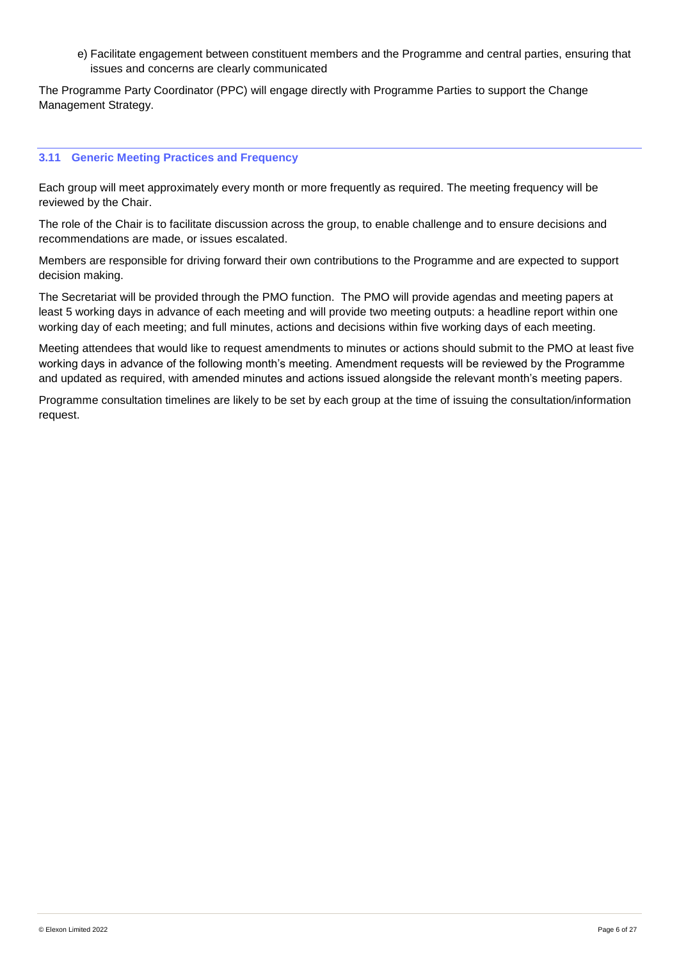e) Facilitate engagement between constituent members and the Programme and central parties, ensuring that issues and concerns are clearly communicated

The Programme Party Coordinator (PPC) will engage directly with Programme Parties to support the Change Management Strategy.

### <span id="page-6-0"></span>**3.11 Generic Meeting Practices and Frequency**

Each group will meet approximately every month or more frequently as required. The meeting frequency will be reviewed by the Chair.

The role of the Chair is to facilitate discussion across the group, to enable challenge and to ensure decisions and recommendations are made, or issues escalated.

Members are responsible for driving forward their own contributions to the Programme and are expected to support decision making.

The Secretariat will be provided through the PMO function. The PMO will provide agendas and meeting papers at least 5 working days in advance of each meeting and will provide two meeting outputs: a headline report within one working day of each meeting; and full minutes, actions and decisions within five working days of each meeting.

Meeting attendees that would like to request amendments to minutes or actions should submit to the PMO at least five working days in advance of the following month's meeting. Amendment requests will be reviewed by the Programme and updated as required, with amended minutes and actions issued alongside the relevant month's meeting papers.

Programme consultation timelines are likely to be set by each group at the time of issuing the consultation/information request.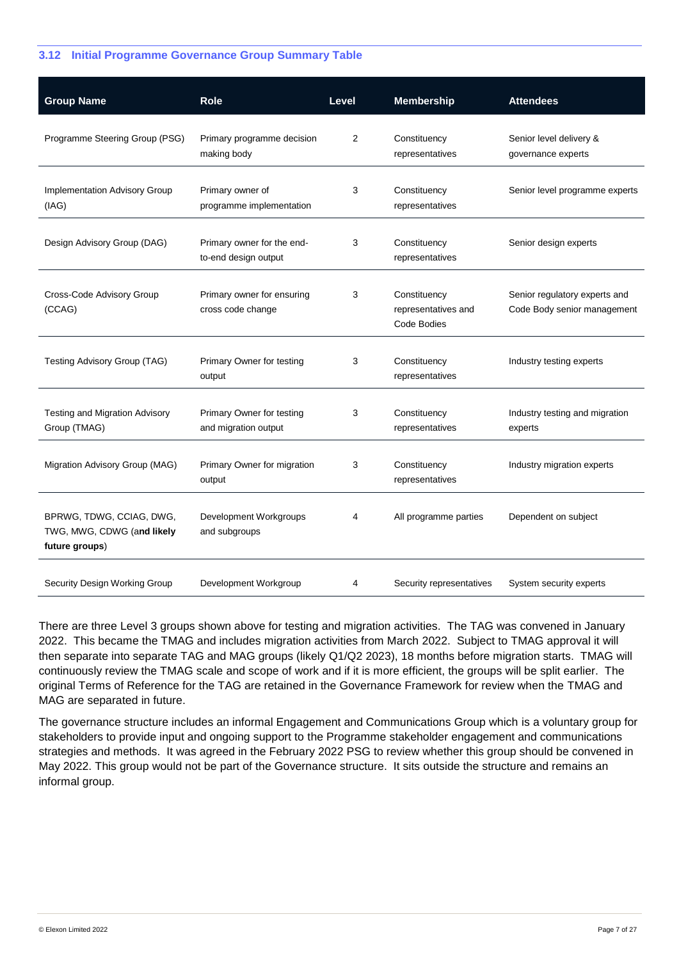### <span id="page-7-0"></span>**3.12 Initial Programme Governance Group Summary Table**

| <b>Group Name</b>                                                        | Role                                               | Level | <b>Membership</b>                                  | <b>Attendees</b>                                             |
|--------------------------------------------------------------------------|----------------------------------------------------|-------|----------------------------------------------------|--------------------------------------------------------------|
| Programme Steering Group (PSG)                                           | Primary programme decision<br>making body          | 2     | Constituency<br>representatives                    | Senior level delivery &<br>governance experts                |
| <b>Implementation Advisory Group</b><br>(IAG)                            | Primary owner of<br>programme implementation       | 3     | Constituency<br>representatives                    | Senior level programme experts                               |
| Design Advisory Group (DAG)                                              | Primary owner for the end-<br>to-end design output | 3     | Constituency<br>representatives                    | Senior design experts                                        |
| Cross-Code Advisory Group<br>(CCAG)                                      | Primary owner for ensuring<br>cross code change    | 3     | Constituency<br>representatives and<br>Code Bodies | Senior regulatory experts and<br>Code Body senior management |
| Testing Advisory Group (TAG)                                             | Primary Owner for testing<br>output                | 3     | Constituency<br>representatives                    | Industry testing experts                                     |
| Testing and Migration Advisory<br>Group (TMAG)                           | Primary Owner for testing<br>and migration output  | 3     | Constituency<br>representatives                    | Industry testing and migration<br>experts                    |
| Migration Advisory Group (MAG)                                           | Primary Owner for migration<br>output              | 3     | Constituency<br>representatives                    | Industry migration experts                                   |
| BPRWG, TDWG, CCIAG, DWG,<br>TWG, MWG, CDWG (and likely<br>future groups) | Development Workgroups<br>and subgroups            | 4     | All programme parties                              | Dependent on subject                                         |
| Security Design Working Group                                            | Development Workgroup                              | 4     | Security representatives                           | System security experts                                      |

There are three Level 3 groups shown above for testing and migration activities. The TAG was convened in January 2022. This became the TMAG and includes migration activities from March 2022. Subject to TMAG approval it will then separate into separate TAG and MAG groups (likely Q1/Q2 2023), 18 months before migration starts. TMAG will continuously review the TMAG scale and scope of work and if it is more efficient, the groups will be split earlier. The original Terms of Reference for the TAG are retained in the Governance Framework for review when the TMAG and MAG are separated in future.

The governance structure includes an informal Engagement and Communications Group which is a voluntary group for stakeholders to provide input and ongoing support to the Programme stakeholder engagement and communications strategies and methods. It was agreed in the February 2022 PSG to review whether this group should be convened in May 2022. This group would not be part of the Governance structure. It sits outside the structure and remains an informal group.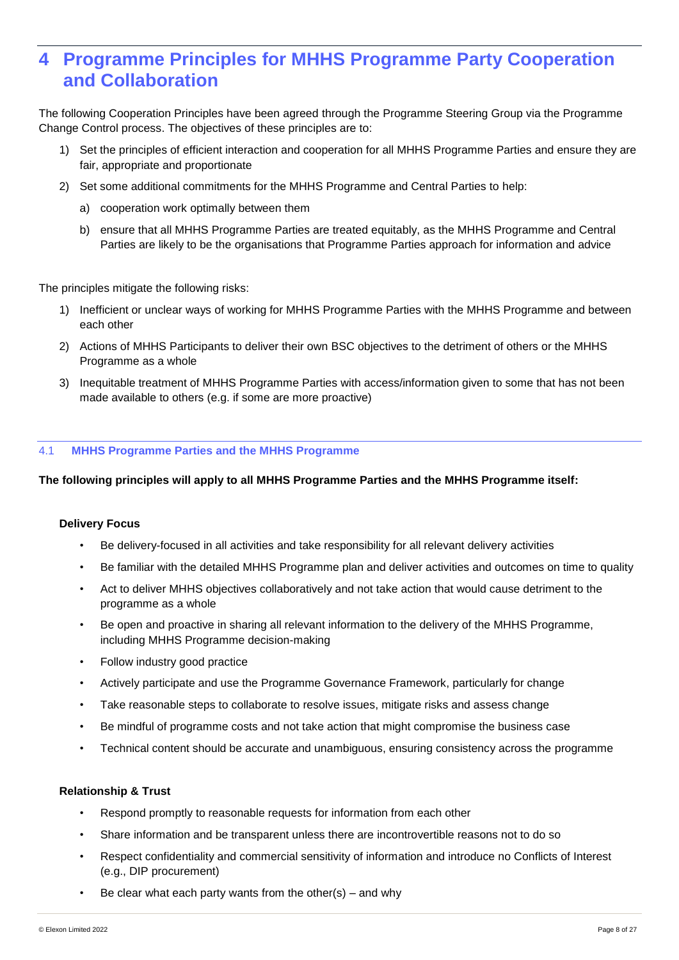### <span id="page-8-0"></span>**4 Programme Principles for MHHS Programme Party Cooperation and Collaboration**

The following Cooperation Principles have been agreed through the Programme Steering Group via the Programme Change Control process. The objectives of these principles are to:

- 1) Set the principles of efficient interaction and cooperation for all MHHS Programme Parties and ensure they are fair, appropriate and proportionate
- 2) Set some additional commitments for the MHHS Programme and Central Parties to help:
	- a) cooperation work optimally between them
	- b) ensure that all MHHS Programme Parties are treated equitably, as the MHHS Programme and Central Parties are likely to be the organisations that Programme Parties approach for information and advice

The principles mitigate the following risks:

- 1) Inefficient or unclear ways of working for MHHS Programme Parties with the MHHS Programme and between each other
- 2) Actions of MHHS Participants to deliver their own BSC objectives to the detriment of others or the MHHS Programme as a whole
- 3) Inequitable treatment of MHHS Programme Parties with access/information given to some that has not been made available to others (e.g. if some are more proactive)

### <span id="page-8-1"></span>4.1 **MHHS Programme Parties and the MHHS Programme**

**The following principles will apply to all MHHS Programme Parties and the MHHS Programme itself:**

### **Delivery Focus**

- Be delivery-focused in all activities and take responsibility for all relevant delivery activities
- Be familiar with the detailed MHHS Programme plan and deliver activities and outcomes on time to quality
- Act to deliver MHHS objectives collaboratively and not take action that would cause detriment to the programme as a whole
- Be open and proactive in sharing all relevant information to the delivery of the MHHS Programme, including MHHS Programme decision-making
- Follow industry good practice
- Actively participate and use the Programme Governance Framework, particularly for change
- Take reasonable steps to collaborate to resolve issues, mitigate risks and assess change
- Be mindful of programme costs and not take action that might compromise the business case
- Technical content should be accurate and unambiguous, ensuring consistency across the programme

### **Relationship & Trust**

- Respond promptly to reasonable requests for information from each other
- Share information and be transparent unless there are incontrovertible reasons not to do so
- Respect confidentiality and commercial sensitivity of information and introduce no Conflicts of Interest (e.g., DIP procurement)
- Be clear what each party wants from the other(s) and why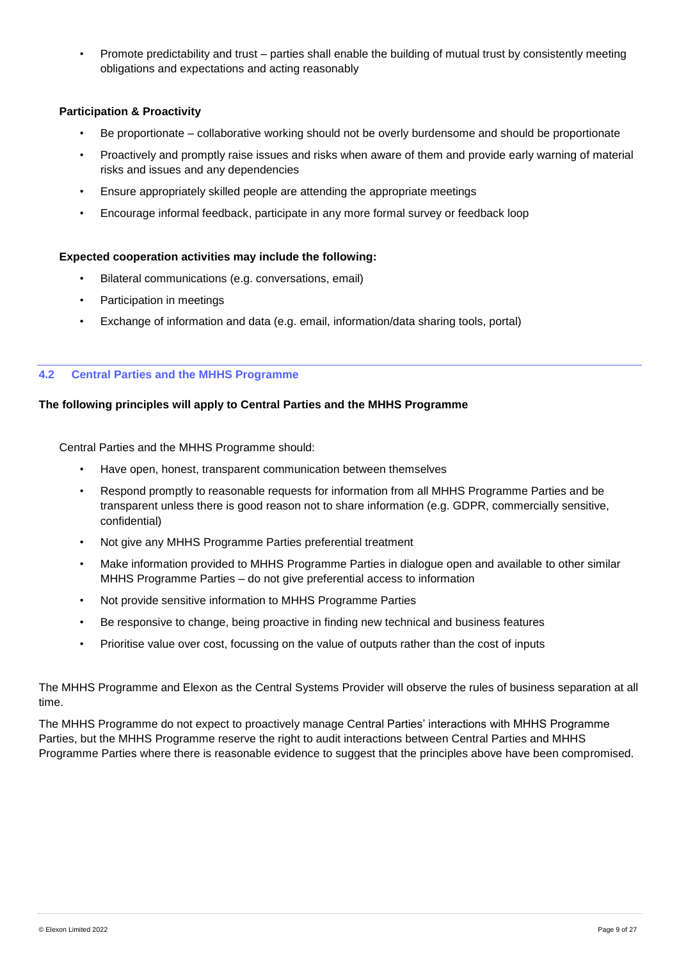• Promote predictability and trust – parties shall enable the building of mutual trust by consistently meeting obligations and expectations and acting reasonably

### **Participation & Proactivity**

- Be proportionate collaborative working should not be overly burdensome and should be proportionate
- Proactively and promptly raise issues and risks when aware of them and provide early warning of material risks and issues and any dependencies
- Ensure appropriately skilled people are attending the appropriate meetings
- Encourage informal feedback, participate in any more formal survey or feedback loop

### **Expected cooperation activities may include the following:**

- Bilateral communications (e.g. conversations, email)
- Participation in meetings
- Exchange of information and data (e.g. email, information/data sharing tools, portal)

### <span id="page-9-0"></span>**4.2 Central Parties and the MHHS Programme**

### **The following principles will apply to Central Parties and the MHHS Programme**

Central Parties and the MHHS Programme should:

- Have open, honest, transparent communication between themselves
- Respond promptly to reasonable requests for information from all MHHS Programme Parties and be transparent unless there is good reason not to share information (e.g. GDPR, commercially sensitive, confidential)
- Not give any MHHS Programme Parties preferential treatment
- Make information provided to MHHS Programme Parties in dialogue open and available to other similar MHHS Programme Parties – do not give preferential access to information
- Not provide sensitive information to MHHS Programme Parties
- Be responsive to change, being proactive in finding new technical and business features
- Prioritise value over cost, focussing on the value of outputs rather than the cost of inputs

The MHHS Programme and Elexon as the Central Systems Provider will observe the rules of business separation at all time.

The MHHS Programme do not expect to proactively manage Central Parties' interactions with MHHS Programme Parties, but the MHHS Programme reserve the right to audit interactions between Central Parties and MHHS Programme Parties where there is reasonable evidence to suggest that the principles above have been compromised.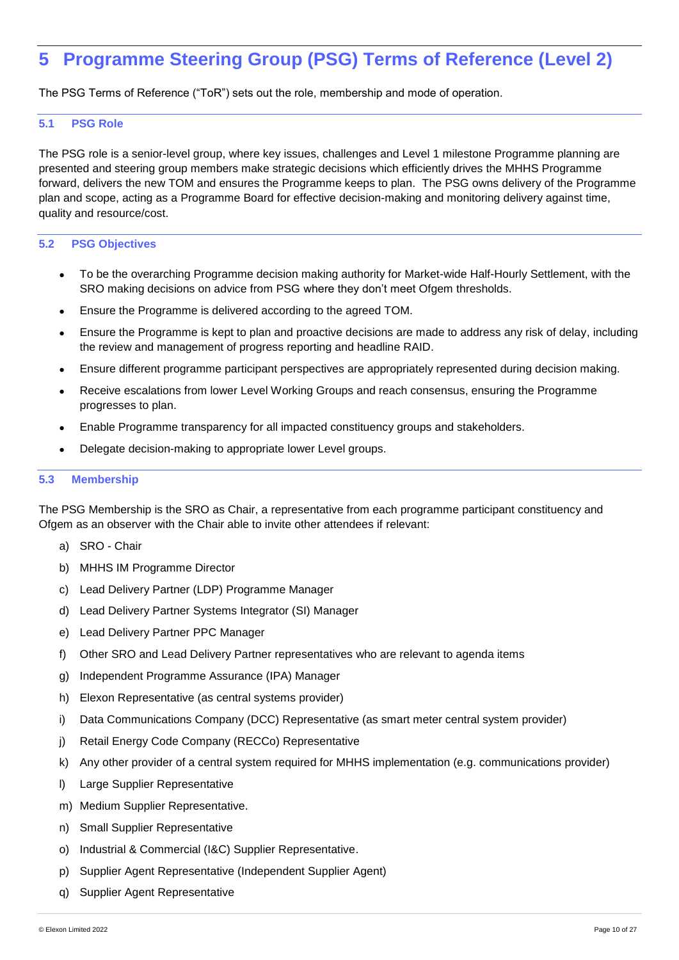## <span id="page-10-0"></span>**5 Programme Steering Group (PSG) Terms of Reference (Level 2)**

The PSG Terms of Reference ("ToR") sets out the role, membership and mode of operation.

### <span id="page-10-1"></span>**5.1 PSG Role**

The PSG role is a senior-level group, where key issues, challenges and Level 1 milestone Programme planning are presented and steering group members make strategic decisions which efficiently drives the MHHS Programme forward, delivers the new TOM and ensures the Programme keeps to plan. The PSG owns delivery of the Programme plan and scope, acting as a Programme Board for effective decision-making and monitoring delivery against time, quality and resource/cost.

### <span id="page-10-2"></span>**5.2 PSG Objectives**

- To be the overarching Programme decision making authority for Market-wide Half-Hourly Settlement, with the SRO making decisions on advice from PSG where they don't meet Ofgem thresholds.
- Ensure the Programme is delivered according to the agreed TOM.
- Ensure the Programme is kept to plan and proactive decisions are made to address any risk of delay, including the review and management of progress reporting and headline RAID.
- Ensure different programme participant perspectives are appropriately represented during decision making.
- Receive escalations from lower Level Working Groups and reach consensus, ensuring the Programme progresses to plan.
- Enable Programme transparency for all impacted constituency groups and stakeholders.
- Delegate decision-making to appropriate lower Level groups.

### <span id="page-10-3"></span>**5.3 Membership**

The PSG Membership is the SRO as Chair, a representative from each programme participant constituency and Ofgem as an observer with the Chair able to invite other attendees if relevant:

- a) SRO Chair
- b) MHHS IM Programme Director
- c) Lead Delivery Partner (LDP) Programme Manager
- d) Lead Delivery Partner Systems Integrator (SI) Manager
- e) Lead Delivery Partner PPC Manager
- f) Other SRO and Lead Delivery Partner representatives who are relevant to agenda items
- g) Independent Programme Assurance (IPA) Manager
- h) Elexon Representative (as central systems provider)
- i) Data Communications Company (DCC) Representative (as smart meter central system provider)
- j) Retail Energy Code Company (RECCo) Representative
- k) Any other provider of a central system required for MHHS implementation (e.g. communications provider)
- l) Large Supplier Representative
- m) Medium Supplier Representative.
- n) Small Supplier Representative
- o) Industrial & Commercial (I&C) Supplier Representative.
- p) Supplier Agent Representative (Independent Supplier Agent)
- q) Supplier Agent Representative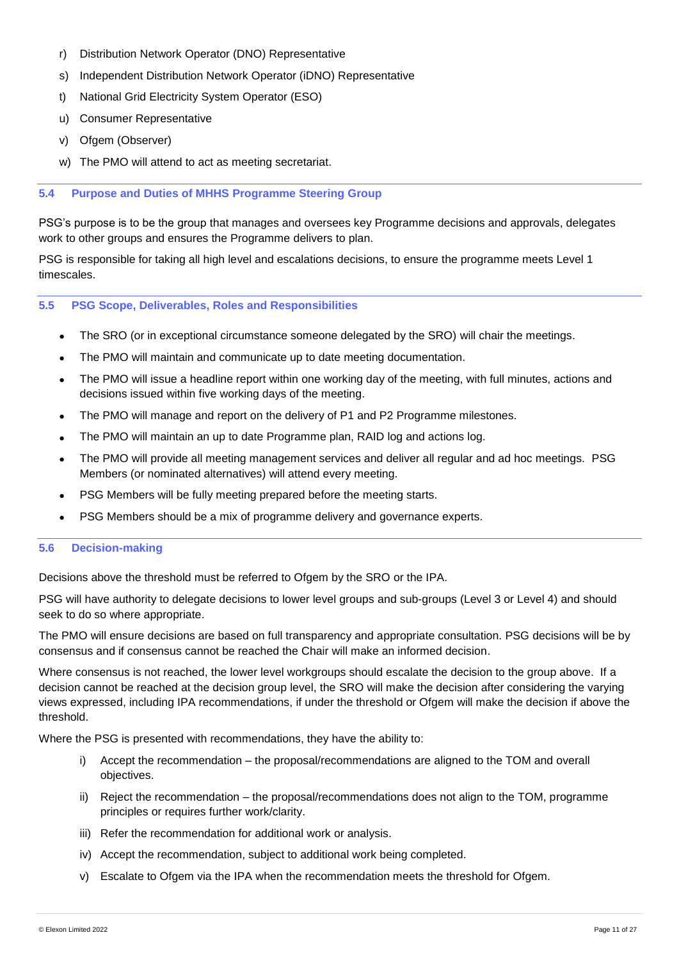- r) Distribution Network Operator (DNO) Representative
- s) Independent Distribution Network Operator (iDNO) Representative
- t) National Grid Electricity System Operator (ESO)
- u) Consumer Representative
- v) Ofgem (Observer)
- w) The PMO will attend to act as meeting secretariat.

### <span id="page-11-0"></span>**5.4 Purpose and Duties of MHHS Programme Steering Group**

PSG's purpose is to be the group that manages and oversees key Programme decisions and approvals, delegates work to other groups and ensures the Programme delivers to plan.

PSG is responsible for taking all high level and escalations decisions, to ensure the programme meets Level 1 timescales.

### <span id="page-11-1"></span>**5.5 PSG Scope, Deliverables, Roles and Responsibilities**

- The SRO (or in exceptional circumstance someone delegated by the SRO) will chair the meetings.
- The PMO will maintain and communicate up to date meeting documentation.
- The PMO will issue a headline report within one working day of the meeting, with full minutes, actions and decisions issued within five working days of the meeting.
- The PMO will manage and report on the delivery of P1 and P2 Programme milestones.
- The PMO will maintain an up to date Programme plan, RAID log and actions log.
- The PMO will provide all meeting management services and deliver all regular and ad hoc meetings. PSG Members (or nominated alternatives) will attend every meeting.
- PSG Members will be fully meeting prepared before the meeting starts.
- PSG Members should be a mix of programme delivery and governance experts.

### <span id="page-11-2"></span>**5.6 Decision-making**

Decisions above the threshold must be referred to Ofgem by the SRO or the IPA.

PSG will have authority to delegate decisions to lower level groups and sub-groups (Level 3 or Level 4) and should seek to do so where appropriate.

The PMO will ensure decisions are based on full transparency and appropriate consultation. PSG decisions will be by consensus and if consensus cannot be reached the Chair will make an informed decision.

Where consensus is not reached, the lower level workgroups should escalate the decision to the group above. If a decision cannot be reached at the decision group level, the SRO will make the decision after considering the varying views expressed, including IPA recommendations, if under the threshold or Ofgem will make the decision if above the threshold.

Where the PSG is presented with recommendations, they have the ability to:

- i) Accept the recommendation the proposal/recommendations are aligned to the TOM and overall objectives.
- ii) Reject the recommendation the proposal/recommendations does not align to the TOM, programme principles or requires further work/clarity.
- iii) Refer the recommendation for additional work or analysis.
- iv) Accept the recommendation, subject to additional work being completed.
- v) Escalate to Ofgem via the IPA when the recommendation meets the threshold for Ofgem.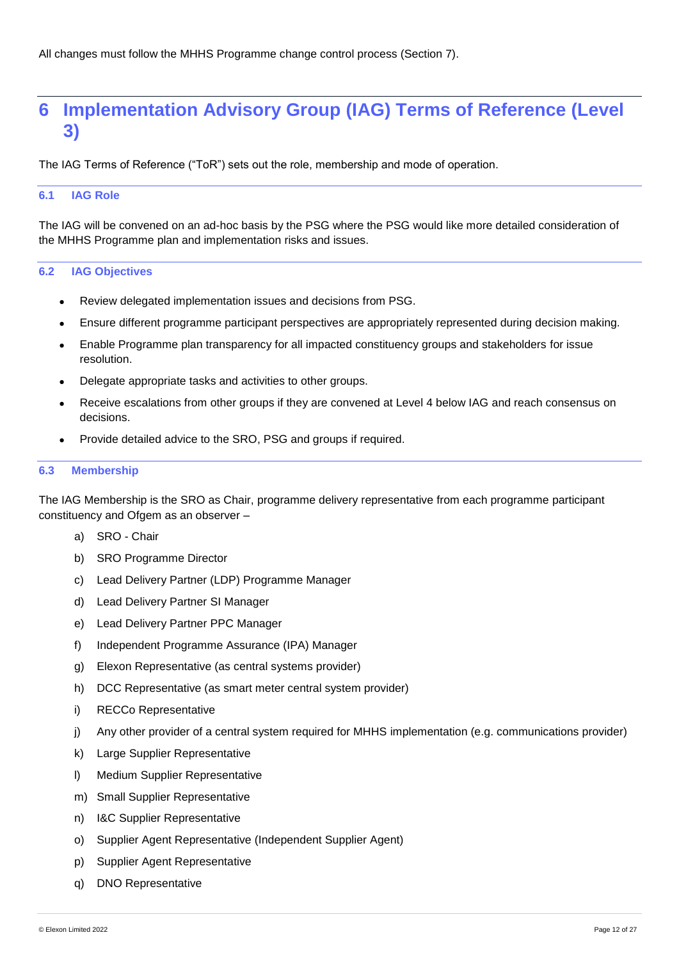### <span id="page-12-0"></span>**6 Implementation Advisory Group (IAG) Terms of Reference (Level 3)**

The IAG Terms of Reference ("ToR") sets out the role, membership and mode of operation.

### <span id="page-12-1"></span>**6.1 IAG Role**

The IAG will be convened on an ad-hoc basis by the PSG where the PSG would like more detailed consideration of the MHHS Programme plan and implementation risks and issues.

### <span id="page-12-2"></span>**6.2 IAG Objectives**

- Review delegated implementation issues and decisions from PSG.
- Ensure different programme participant perspectives are appropriately represented during decision making.
- Enable Programme plan transparency for all impacted constituency groups and stakeholders for issue resolution.
- Delegate appropriate tasks and activities to other groups.
- Receive escalations from other groups if they are convened at Level 4 below IAG and reach consensus on decisions.
- Provide detailed advice to the SRO, PSG and groups if required.

### <span id="page-12-3"></span>**6.3 Membership**

The IAG Membership is the SRO as Chair, programme delivery representative from each programme participant constituency and Ofgem as an observer –

- a) SRO Chair
- b) SRO Programme Director
- c) Lead Delivery Partner (LDP) Programme Manager
- d) Lead Delivery Partner SI Manager
- e) Lead Delivery Partner PPC Manager
- f) Independent Programme Assurance (IPA) Manager
- g) Elexon Representative (as central systems provider)
- h) DCC Representative (as smart meter central system provider)
- i) RECCo Representative
- j) Any other provider of a central system required for MHHS implementation (e.g. communications provider)
- k) Large Supplier Representative
- l) Medium Supplier Representative
- m) Small Supplier Representative
- n) I&C Supplier Representative
- o) Supplier Agent Representative (Independent Supplier Agent)
- p) Supplier Agent Representative
- q) DNO Representative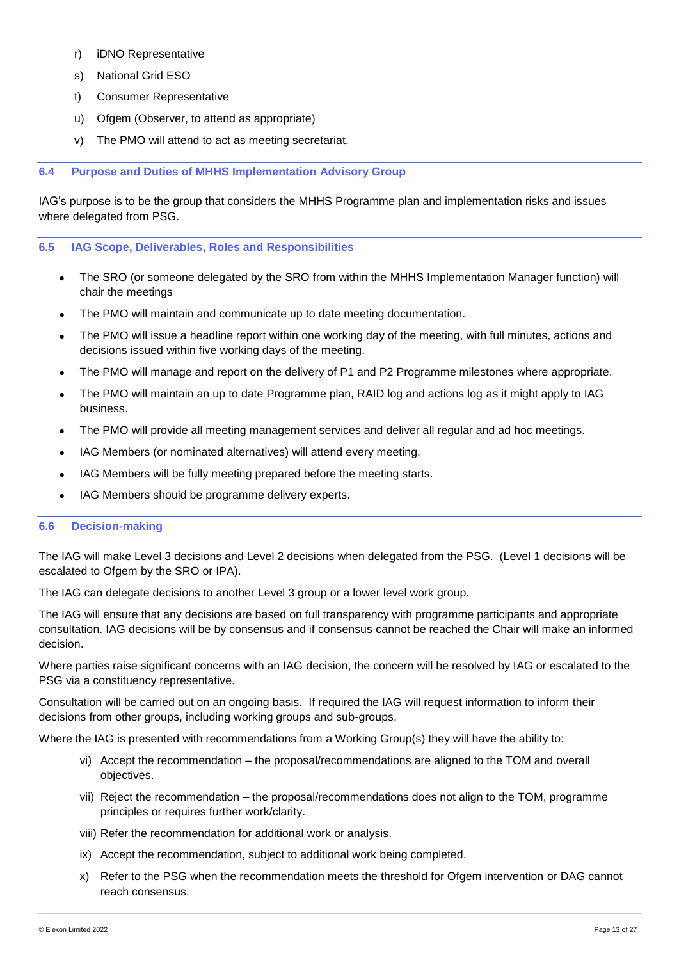- r) iDNO Representative
- s) National Grid ESO
- t) Consumer Representative
- u) Ofgem (Observer, to attend as appropriate)
- v) The PMO will attend to act as meeting secretariat.

### <span id="page-13-0"></span>**6.4 Purpose and Duties of MHHS Implementation Advisory Group**

IAG's purpose is to be the group that considers the MHHS Programme plan and implementation risks and issues where delegated from PSG.

### <span id="page-13-1"></span>**6.5 IAG Scope, Deliverables, Roles and Responsibilities**

- The SRO (or someone delegated by the SRO from within the MHHS Implementation Manager function) will chair the meetings
- The PMO will maintain and communicate up to date meeting documentation.
- The PMO will issue a headline report within one working day of the meeting, with full minutes, actions and decisions issued within five working days of the meeting.
- The PMO will manage and report on the delivery of P1 and P2 Programme milestones where appropriate.
- The PMO will maintain an up to date Programme plan, RAID log and actions log as it might apply to IAG business.
- The PMO will provide all meeting management services and deliver all regular and ad hoc meetings.
- IAG Members (or nominated alternatives) will attend every meeting.
- IAG Members will be fully meeting prepared before the meeting starts.
- IAG Members should be programme delivery experts.

### <span id="page-13-2"></span>**6.6 Decision-making**

The IAG will make Level 3 decisions and Level 2 decisions when delegated from the PSG. (Level 1 decisions will be escalated to Ofgem by the SRO or IPA).

The IAG can delegate decisions to another Level 3 group or a lower level work group.

The IAG will ensure that any decisions are based on full transparency with programme participants and appropriate consultation. IAG decisions will be by consensus and if consensus cannot be reached the Chair will make an informed decision.

Where parties raise significant concerns with an IAG decision, the concern will be resolved by IAG or escalated to the PSG via a constituency representative.

Consultation will be carried out on an ongoing basis. If required the IAG will request information to inform their decisions from other groups, including working groups and sub-groups.

Where the IAG is presented with recommendations from a Working Group(s) they will have the ability to:

- vi) Accept the recommendation the proposal/recommendations are aligned to the TOM and overall objectives.
- vii) Reject the recommendation the proposal/recommendations does not align to the TOM, programme principles or requires further work/clarity.
- viii) Refer the recommendation for additional work or analysis.
- ix) Accept the recommendation, subject to additional work being completed.
- x) Refer to the PSG when the recommendation meets the threshold for Ofgem intervention or DAG cannot reach consensus.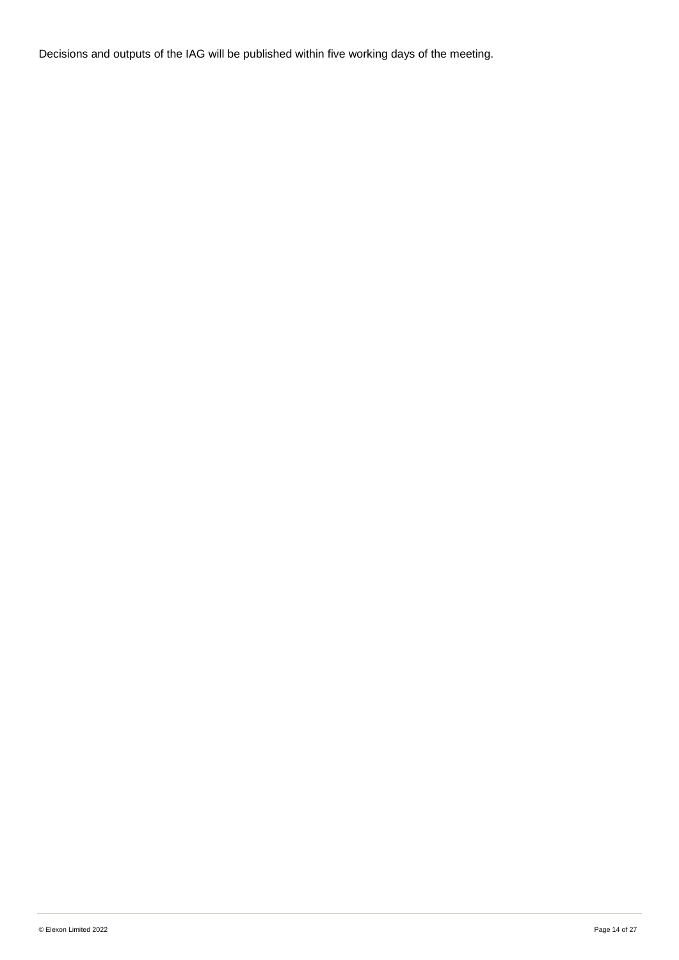Decisions and outputs of the IAG will be published within five working days of the meeting.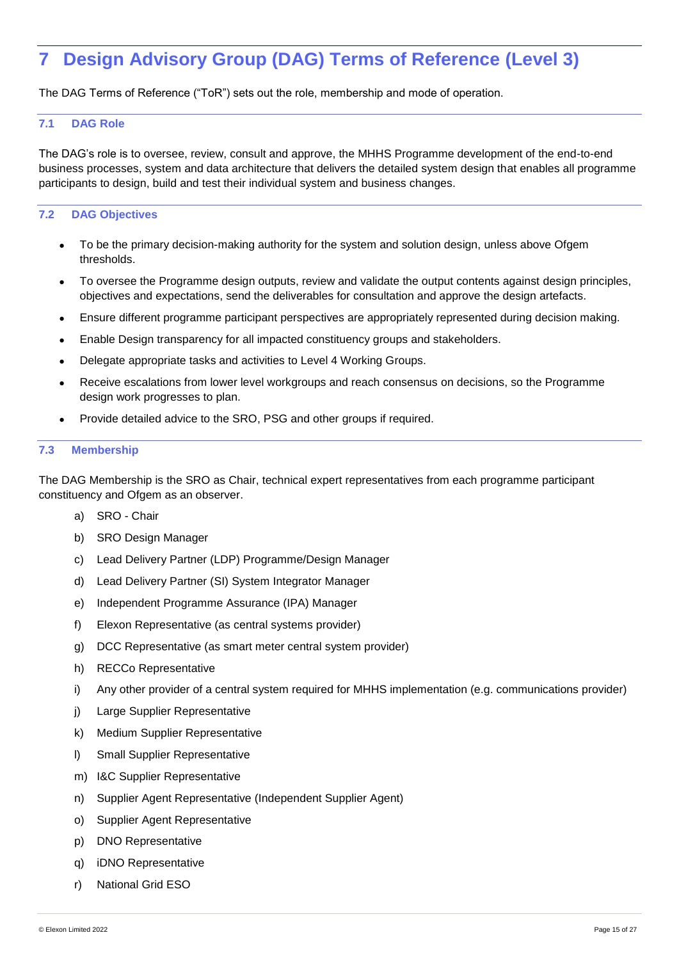# <span id="page-15-0"></span>**7 Design Advisory Group (DAG) Terms of Reference (Level 3)**

The DAG Terms of Reference ("ToR") sets out the role, membership and mode of operation.

### <span id="page-15-1"></span>**7.1 DAG Role**

The DAG's role is to oversee, review, consult and approve, the MHHS Programme development of the end-to-end business processes, system and data architecture that delivers the detailed system design that enables all programme participants to design, build and test their individual system and business changes.

### <span id="page-15-2"></span>**7.2 DAG Objectives**

- To be the primary decision-making authority for the system and solution design, unless above Ofgem thresholds.
- To oversee the Programme design outputs, review and validate the output contents against design principles, objectives and expectations, send the deliverables for consultation and approve the design artefacts.
- Ensure different programme participant perspectives are appropriately represented during decision making.
- Enable Design transparency for all impacted constituency groups and stakeholders.
- Delegate appropriate tasks and activities to Level 4 Working Groups.
- Receive escalations from lower level workgroups and reach consensus on decisions, so the Programme design work progresses to plan.
- Provide detailed advice to the SRO, PSG and other groups if required.

### <span id="page-15-3"></span>**7.3 Membership**

The DAG Membership is the SRO as Chair, technical expert representatives from each programme participant constituency and Ofgem as an observer.

- a) SRO Chair
- b) SRO Design Manager
- c) Lead Delivery Partner (LDP) Programme/Design Manager
- d) Lead Delivery Partner (SI) System Integrator Manager
- e) Independent Programme Assurance (IPA) Manager
- f) Elexon Representative (as central systems provider)
- g) DCC Representative (as smart meter central system provider)
- h) RECCo Representative
- i) Any other provider of a central system required for MHHS implementation (e.g. communications provider)
- j) Large Supplier Representative
- k) Medium Supplier Representative
- l) Small Supplier Representative
- m) I&C Supplier Representative
- n) Supplier Agent Representative (Independent Supplier Agent)
- o) Supplier Agent Representative
- p) DNO Representative
- q) iDNO Representative
- r) National Grid ESO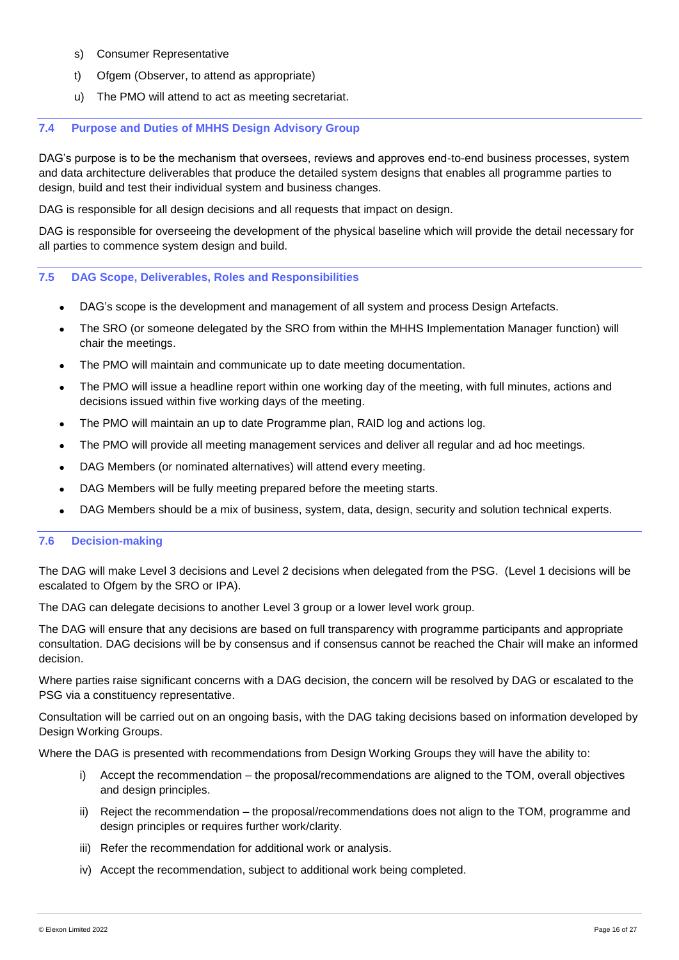- s) Consumer Representative
- t) Ofgem (Observer, to attend as appropriate)
- u) The PMO will attend to act as meeting secretariat.

### <span id="page-16-0"></span>**7.4 Purpose and Duties of MHHS Design Advisory Group**

DAG's purpose is to be the mechanism that oversees, reviews and approves end-to-end business processes, system and data architecture deliverables that produce the detailed system designs that enables all programme parties to design, build and test their individual system and business changes.

DAG is responsible for all design decisions and all requests that impact on design.

DAG is responsible for overseeing the development of the physical baseline which will provide the detail necessary for all parties to commence system design and build.

### <span id="page-16-1"></span>**7.5 DAG Scope, Deliverables, Roles and Responsibilities**

- DAG's scope is the development and management of all system and process Design Artefacts.
- The SRO (or someone delegated by the SRO from within the MHHS Implementation Manager function) will chair the meetings.
- The PMO will maintain and communicate up to date meeting documentation.
- The PMO will issue a headline report within one working day of the meeting, with full minutes, actions and decisions issued within five working days of the meeting.
- The PMO will maintain an up to date Programme plan, RAID log and actions log.
- The PMO will provide all meeting management services and deliver all regular and ad hoc meetings.
- DAG Members (or nominated alternatives) will attend every meeting.
- DAG Members will be fully meeting prepared before the meeting starts.
- DAG Members should be a mix of business, system, data, design, security and solution technical experts.

### <span id="page-16-2"></span>**7.6 Decision-making**

The DAG will make Level 3 decisions and Level 2 decisions when delegated from the PSG. (Level 1 decisions will be escalated to Ofgem by the SRO or IPA).

The DAG can delegate decisions to another Level 3 group or a lower level work group.

The DAG will ensure that any decisions are based on full transparency with programme participants and appropriate consultation. DAG decisions will be by consensus and if consensus cannot be reached the Chair will make an informed decision.

Where parties raise significant concerns with a DAG decision, the concern will be resolved by DAG or escalated to the PSG via a constituency representative.

Consultation will be carried out on an ongoing basis, with the DAG taking decisions based on information developed by Design Working Groups.

Where the DAG is presented with recommendations from Design Working Groups they will have the ability to:

- Accept the recommendation the proposal/recommendations are aligned to the TOM, overall objectives and design principles.
- ii) Reject the recommendation the proposal/recommendations does not align to the TOM, programme and design principles or requires further work/clarity.
- iii) Refer the recommendation for additional work or analysis.
- iv) Accept the recommendation, subject to additional work being completed.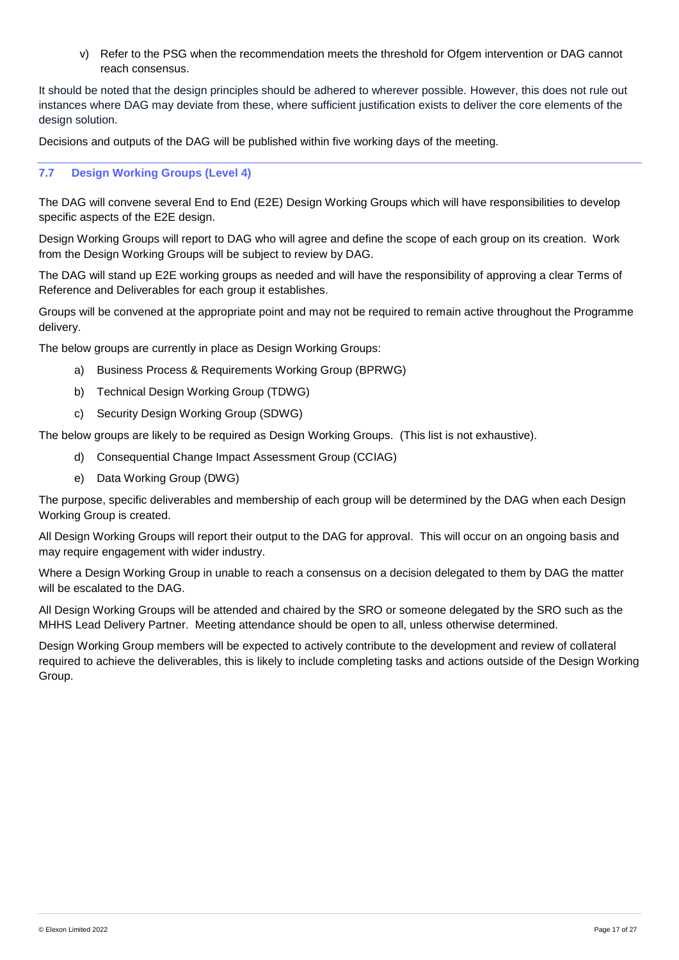v) Refer to the PSG when the recommendation meets the threshold for Ofgem intervention or DAG cannot reach consensus.

It should be noted that the design principles should be adhered to wherever possible. However, this does not rule out instances where DAG may deviate from these, where sufficient justification exists to deliver the core elements of the design solution.

Decisions and outputs of the DAG will be published within five working days of the meeting.

### <span id="page-17-0"></span>**7.7 Design Working Groups (Level 4)**

The DAG will convene several End to End (E2E) Design Working Groups which will have responsibilities to develop specific aspects of the E2E design.

Design Working Groups will report to DAG who will agree and define the scope of each group on its creation. Work from the Design Working Groups will be subject to review by DAG.

The DAG will stand up E2E working groups as needed and will have the responsibility of approving a clear Terms of Reference and Deliverables for each group it establishes.

Groups will be convened at the appropriate point and may not be required to remain active throughout the Programme delivery.

The below groups are currently in place as Design Working Groups:

- a) Business Process & Requirements Working Group (BPRWG)
- b) Technical Design Working Group (TDWG)
- c) Security Design Working Group (SDWG)

The below groups are likely to be required as Design Working Groups. (This list is not exhaustive).

- d) Consequential Change Impact Assessment Group (CCIAG)
- e) Data Working Group (DWG)

The purpose, specific deliverables and membership of each group will be determined by the DAG when each Design Working Group is created.

All Design Working Groups will report their output to the DAG for approval. This will occur on an ongoing basis and may require engagement with wider industry.

Where a Design Working Group in unable to reach a consensus on a decision delegated to them by DAG the matter will be escalated to the DAG.

All Design Working Groups will be attended and chaired by the SRO or someone delegated by the SRO such as the MHHS Lead Delivery Partner. Meeting attendance should be open to all, unless otherwise determined.

Design Working Group members will be expected to actively contribute to the development and review of collateral required to achieve the deliverables, this is likely to include completing tasks and actions outside of the Design Working Group.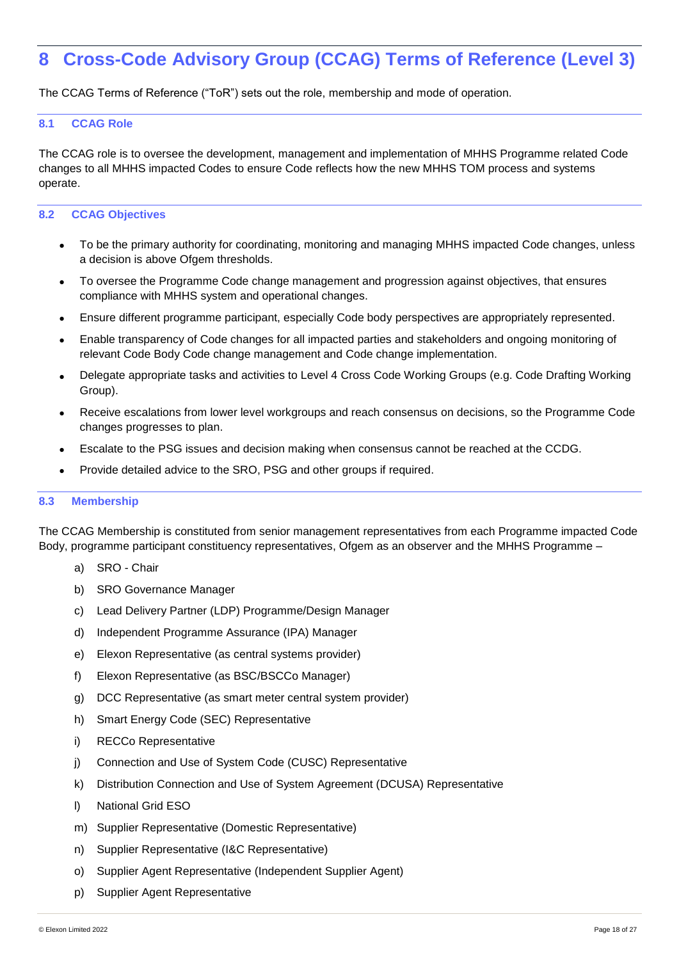## <span id="page-18-0"></span>**8 Cross-Code Advisory Group (CCAG) Terms of Reference (Level 3)**

The CCAG Terms of Reference ("ToR") sets out the role, membership and mode of operation.

### <span id="page-18-1"></span>**8.1 CCAG Role**

The CCAG role is to oversee the development, management and implementation of MHHS Programme related Code changes to all MHHS impacted Codes to ensure Code reflects how the new MHHS TOM process and systems operate.

### <span id="page-18-2"></span>**8.2 CCAG Objectives**

- To be the primary authority for coordinating, monitoring and managing MHHS impacted Code changes, unless a decision is above Ofgem thresholds.
- To oversee the Programme Code change management and progression against objectives, that ensures compliance with MHHS system and operational changes.
- Ensure different programme participant, especially Code body perspectives are appropriately represented.
- Enable transparency of Code changes for all impacted parties and stakeholders and ongoing monitoring of relevant Code Body Code change management and Code change implementation.
- Delegate appropriate tasks and activities to Level 4 Cross Code Working Groups (e.g. Code Drafting Working Group).
- Receive escalations from lower level workgroups and reach consensus on decisions, so the Programme Code changes progresses to plan.
- Escalate to the PSG issues and decision making when consensus cannot be reached at the CCDG.
- Provide detailed advice to the SRO, PSG and other groups if required.

### <span id="page-18-3"></span>**8.3 Membership**

The CCAG Membership is constituted from senior management representatives from each Programme impacted Code Body, programme participant constituency representatives, Ofgem as an observer and the MHHS Programme –

- a) SRO Chair
- b) SRO Governance Manager
- c) Lead Delivery Partner (LDP) Programme/Design Manager
- d) Independent Programme Assurance (IPA) Manager
- e) Elexon Representative (as central systems provider)
- f) Elexon Representative (as BSC/BSCCo Manager)
- g) DCC Representative (as smart meter central system provider)
- h) Smart Energy Code (SEC) Representative
- i) RECCo Representative
- j) Connection and Use of System Code (CUSC) Representative
- k) Distribution Connection and Use of System Agreement (DCUSA) Representative
- l) National Grid ESO
- m) Supplier Representative (Domestic Representative)
- n) Supplier Representative (I&C Representative)
- o) Supplier Agent Representative (Independent Supplier Agent)
- p) Supplier Agent Representative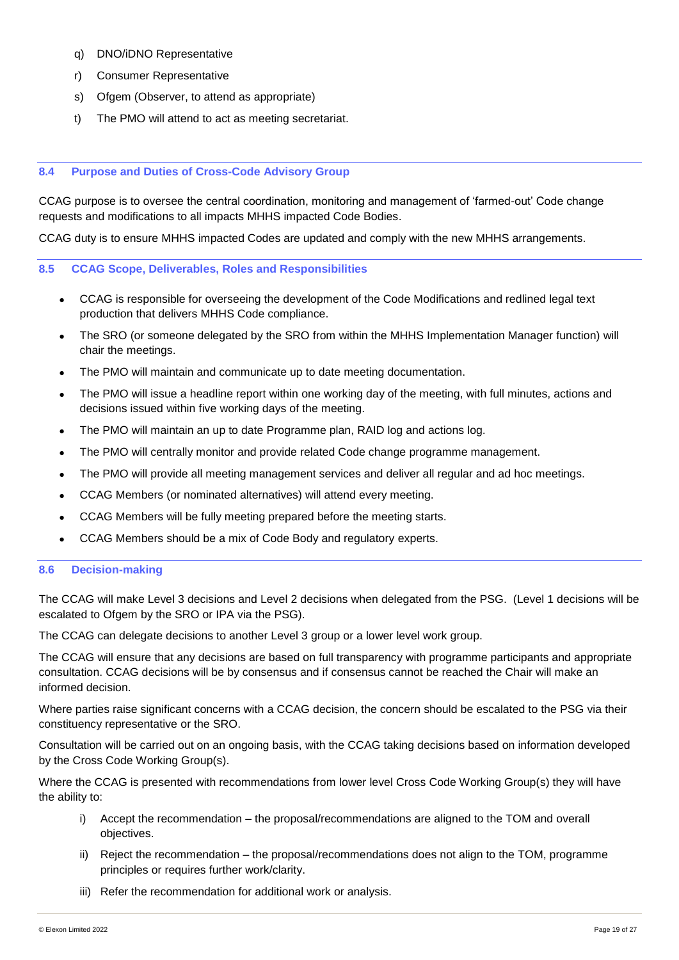- q) DNO/iDNO Representative
- r) Consumer Representative
- s) Ofgem (Observer, to attend as appropriate)
- t) The PMO will attend to act as meeting secretariat.

### <span id="page-19-0"></span>**8.4 Purpose and Duties of Cross-Code Advisory Group**

CCAG purpose is to oversee the central coordination, monitoring and management of 'farmed-out' Code change requests and modifications to all impacts MHHS impacted Code Bodies.

CCAG duty is to ensure MHHS impacted Codes are updated and comply with the new MHHS arrangements.

### <span id="page-19-1"></span>**8.5 CCAG Scope, Deliverables, Roles and Responsibilities**

- CCAG is responsible for overseeing the development of the Code Modifications and redlined legal text production that delivers MHHS Code compliance.
- The SRO (or someone delegated by the SRO from within the MHHS Implementation Manager function) will chair the meetings.
- The PMO will maintain and communicate up to date meeting documentation.
- The PMO will issue a headline report within one working day of the meeting, with full minutes, actions and decisions issued within five working days of the meeting.
- The PMO will maintain an up to date Programme plan, RAID log and actions log.
- The PMO will centrally monitor and provide related Code change programme management.
- The PMO will provide all meeting management services and deliver all regular and ad hoc meetings.
- CCAG Members (or nominated alternatives) will attend every meeting.
- CCAG Members will be fully meeting prepared before the meeting starts.
- CCAG Members should be a mix of Code Body and regulatory experts.

### <span id="page-19-2"></span>**8.6 Decision-making**

The CCAG will make Level 3 decisions and Level 2 decisions when delegated from the PSG. (Level 1 decisions will be escalated to Ofgem by the SRO or IPA via the PSG).

The CCAG can delegate decisions to another Level 3 group or a lower level work group.

The CCAG will ensure that any decisions are based on full transparency with programme participants and appropriate consultation. CCAG decisions will be by consensus and if consensus cannot be reached the Chair will make an informed decision.

Where parties raise significant concerns with a CCAG decision, the concern should be escalated to the PSG via their constituency representative or the SRO.

Consultation will be carried out on an ongoing basis, with the CCAG taking decisions based on information developed by the Cross Code Working Group(s).

Where the CCAG is presented with recommendations from lower level Cross Code Working Group(s) they will have the ability to:

- i) Accept the recommendation the proposal/recommendations are aligned to the TOM and overall objectives.
- ii) Reject the recommendation the proposal/recommendations does not align to the TOM, programme principles or requires further work/clarity.
- iii) Refer the recommendation for additional work or analysis.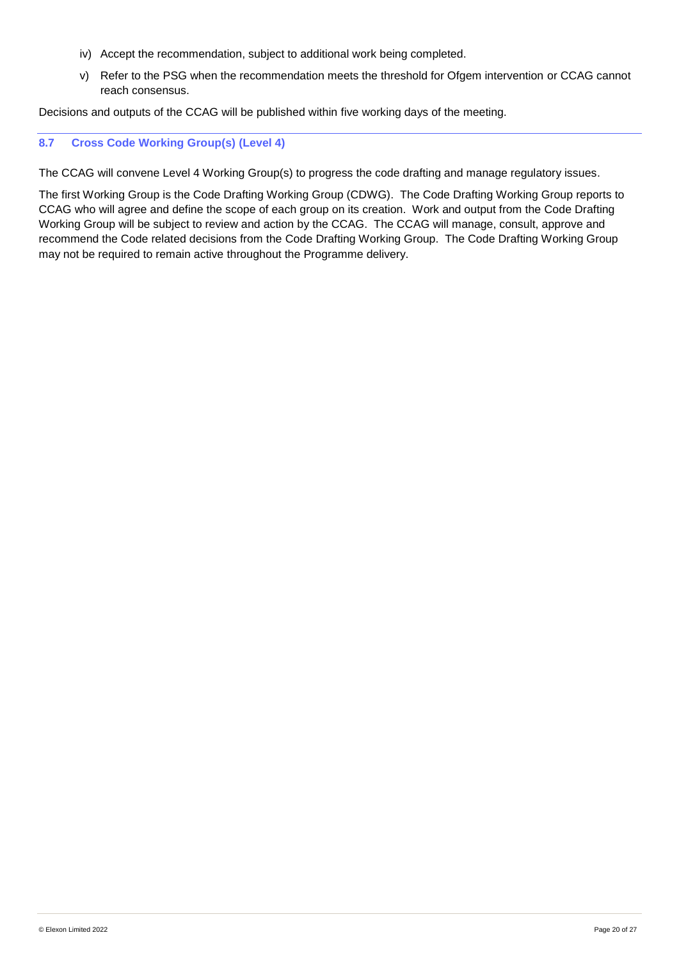- iv) Accept the recommendation, subject to additional work being completed.
- v) Refer to the PSG when the recommendation meets the threshold for Ofgem intervention or CCAG cannot reach consensus.

Decisions and outputs of the CCAG will be published within five working days of the meeting.

### <span id="page-20-0"></span>**8.7 Cross Code Working Group(s) (Level 4)**

The CCAG will convene Level 4 Working Group(s) to progress the code drafting and manage regulatory issues.

The first Working Group is the Code Drafting Working Group (CDWG). The Code Drafting Working Group reports to CCAG who will agree and define the scope of each group on its creation. Work and output from the Code Drafting Working Group will be subject to review and action by the CCAG. The CCAG will manage, consult, approve and recommend the Code related decisions from the Code Drafting Working Group. The Code Drafting Working Group may not be required to remain active throughout the Programme delivery.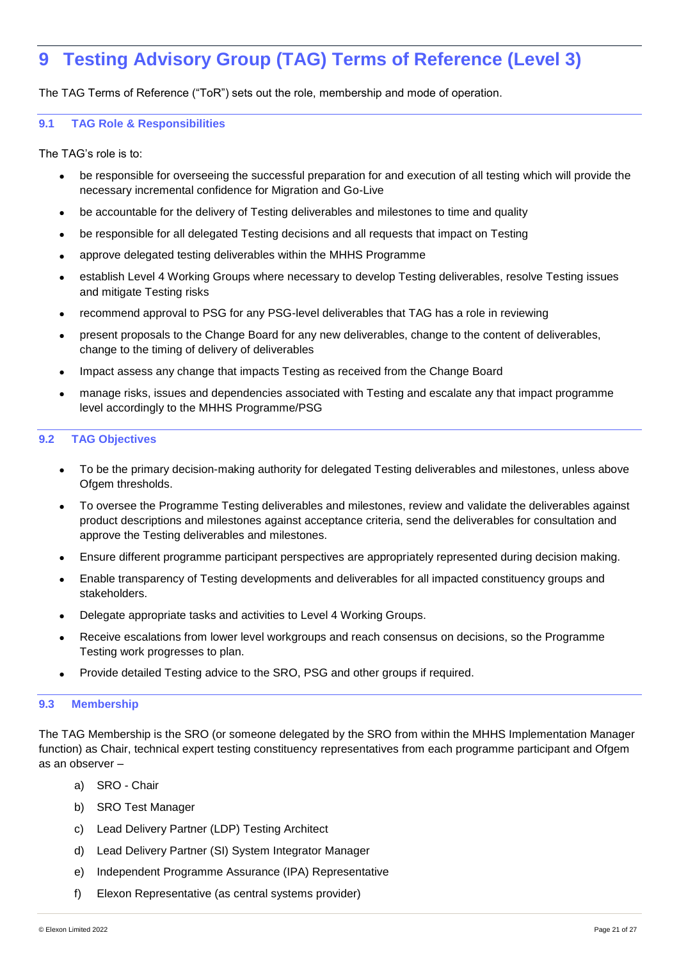## <span id="page-21-0"></span>**9 Testing Advisory Group (TAG) Terms of Reference (Level 3)**

The TAG Terms of Reference ("ToR") sets out the role, membership and mode of operation.

### <span id="page-21-1"></span>**9.1 TAG Role & Responsibilities**

The TAG's role is to:

- be responsible for overseeing the successful preparation for and execution of all testing which will provide the necessary incremental confidence for Migration and Go-Live
- be accountable for the delivery of Testing deliverables and milestones to time and quality
- be responsible for all delegated Testing decisions and all requests that impact on Testing
- approve delegated testing deliverables within the MHHS Programme
- establish Level 4 Working Groups where necessary to develop Testing deliverables, resolve Testing issues and mitigate Testing risks
- recommend approval to PSG for any PSG-level deliverables that TAG has a role in reviewing
- present proposals to the Change Board for any new deliverables, change to the content of deliverables, change to the timing of delivery of deliverables
- Impact assess any change that impacts Testing as received from the Change Board
- manage risks, issues and dependencies associated with Testing and escalate any that impact programme level accordingly to the MHHS Programme/PSG

### <span id="page-21-2"></span>**9.2 TAG Objectives**

- To be the primary decision-making authority for delegated Testing deliverables and milestones, unless above Ofgem thresholds.
- To oversee the Programme Testing deliverables and milestones, review and validate the deliverables against product descriptions and milestones against acceptance criteria, send the deliverables for consultation and approve the Testing deliverables and milestones.
- Ensure different programme participant perspectives are appropriately represented during decision making.
- Enable transparency of Testing developments and deliverables for all impacted constituency groups and stakeholders.
- Delegate appropriate tasks and activities to Level 4 Working Groups.
- Receive escalations from lower level workgroups and reach consensus on decisions, so the Programme Testing work progresses to plan.
- Provide detailed Testing advice to the SRO, PSG and other groups if required.

### <span id="page-21-3"></span>**9.3 Membership**

The TAG Membership is the SRO (or someone delegated by the SRO from within the MHHS Implementation Manager function) as Chair, technical expert testing constituency representatives from each programme participant and Ofgem as an observer –

- a) SRO Chair
- b) SRO Test Manager
- c) Lead Delivery Partner (LDP) Testing Architect
- d) Lead Delivery Partner (SI) System Integrator Manager
- e) Independent Programme Assurance (IPA) Representative
- f) Elexon Representative (as central systems provider)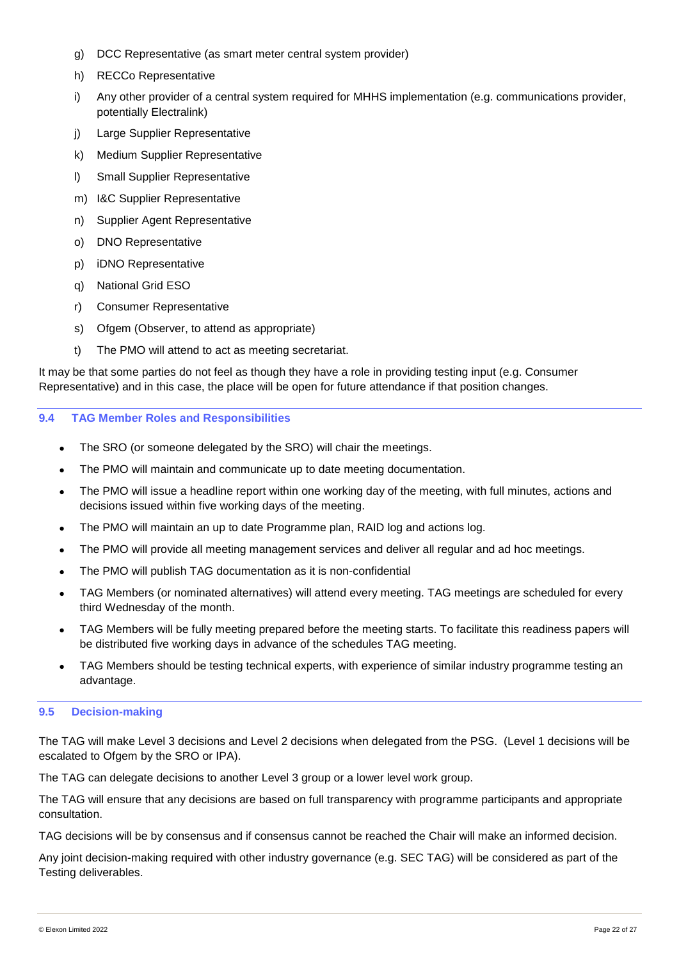- g) DCC Representative (as smart meter central system provider)
- h) RECCo Representative
- i) Any other provider of a central system required for MHHS implementation (e.g. communications provider, potentially Electralink)
- j) Large Supplier Representative
- k) Medium Supplier Representative
- l) Small Supplier Representative
- m) I&C Supplier Representative
- n) Supplier Agent Representative
- o) DNO Representative
- p) iDNO Representative
- q) National Grid ESO
- r) Consumer Representative
- s) Ofgem (Observer, to attend as appropriate)
- t) The PMO will attend to act as meeting secretariat.

It may be that some parties do not feel as though they have a role in providing testing input (e.g. Consumer Representative) and in this case, the place will be open for future attendance if that position changes.

### <span id="page-22-0"></span>**9.4 TAG Member Roles and Responsibilities**

- The SRO (or someone delegated by the SRO) will chair the meetings.
- The PMO will maintain and communicate up to date meeting documentation.
- The PMO will issue a headline report within one working day of the meeting, with full minutes, actions and decisions issued within five working days of the meeting.
- The PMO will maintain an up to date Programme plan, RAID log and actions log.
- The PMO will provide all meeting management services and deliver all regular and ad hoc meetings.
- The PMO will publish TAG documentation as it is non-confidential
- TAG Members (or nominated alternatives) will attend every meeting. TAG meetings are scheduled for every third Wednesday of the month.
- TAG Members will be fully meeting prepared before the meeting starts. To facilitate this readiness papers will be distributed five working days in advance of the schedules TAG meeting.
- TAG Members should be testing technical experts, with experience of similar industry programme testing an advantage.

### <span id="page-22-1"></span>**9.5 Decision-making**

The TAG will make Level 3 decisions and Level 2 decisions when delegated from the PSG. (Level 1 decisions will be escalated to Ofgem by the SRO or IPA).

The TAG can delegate decisions to another Level 3 group or a lower level work group.

The TAG will ensure that any decisions are based on full transparency with programme participants and appropriate consultation.

TAG decisions will be by consensus and if consensus cannot be reached the Chair will make an informed decision.

Any joint decision-making required with other industry governance (e.g. SEC TAG) will be considered as part of the Testing deliverables.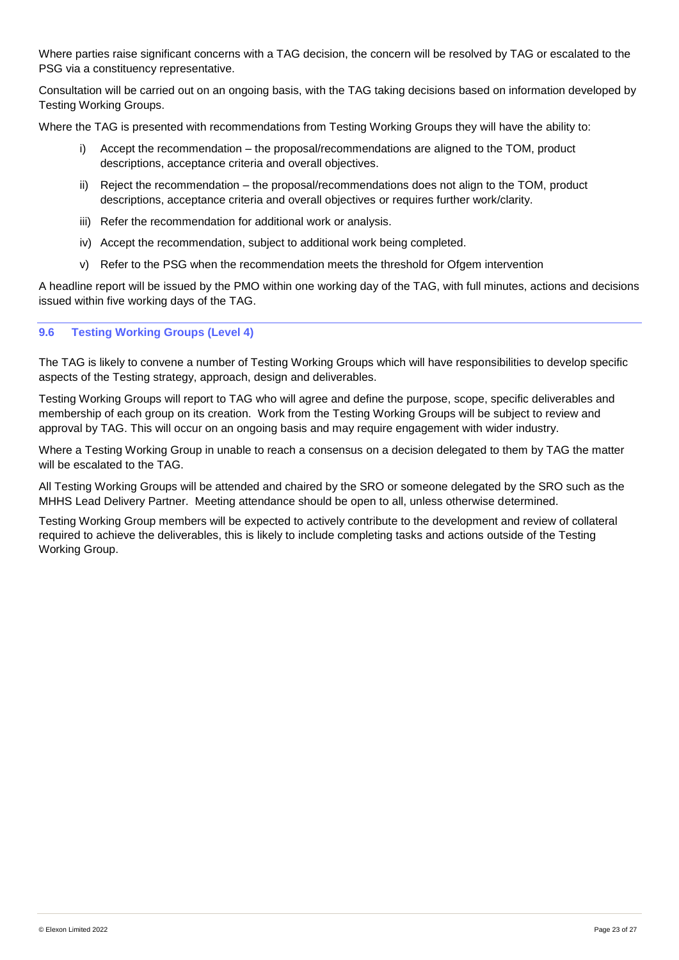Where parties raise significant concerns with a TAG decision, the concern will be resolved by TAG or escalated to the PSG via a constituency representative.

Consultation will be carried out on an ongoing basis, with the TAG taking decisions based on information developed by Testing Working Groups.

Where the TAG is presented with recommendations from Testing Working Groups they will have the ability to:

- Accept the recommendation the proposal/recommendations are aligned to the TOM, product descriptions, acceptance criteria and overall objectives.
- ii) Reject the recommendation the proposal/recommendations does not align to the TOM, product descriptions, acceptance criteria and overall objectives or requires further work/clarity.
- iii) Refer the recommendation for additional work or analysis.
- iv) Accept the recommendation, subject to additional work being completed.
- v) Refer to the PSG when the recommendation meets the threshold for Ofgem intervention

A headline report will be issued by the PMO within one working day of the TAG, with full minutes, actions and decisions issued within five working days of the TAG.

### <span id="page-23-0"></span>**9.6 Testing Working Groups (Level 4)**

The TAG is likely to convene a number of Testing Working Groups which will have responsibilities to develop specific aspects of the Testing strategy, approach, design and deliverables.

Testing Working Groups will report to TAG who will agree and define the purpose, scope, specific deliverables and membership of each group on its creation. Work from the Testing Working Groups will be subject to review and approval by TAG. This will occur on an ongoing basis and may require engagement with wider industry.

Where a Testing Working Group in unable to reach a consensus on a decision delegated to them by TAG the matter will be escalated to the TAG.

All Testing Working Groups will be attended and chaired by the SRO or someone delegated by the SRO such as the MHHS Lead Delivery Partner. Meeting attendance should be open to all, unless otherwise determined.

Testing Working Group members will be expected to actively contribute to the development and review of collateral required to achieve the deliverables, this is likely to include completing tasks and actions outside of the Testing Working Group.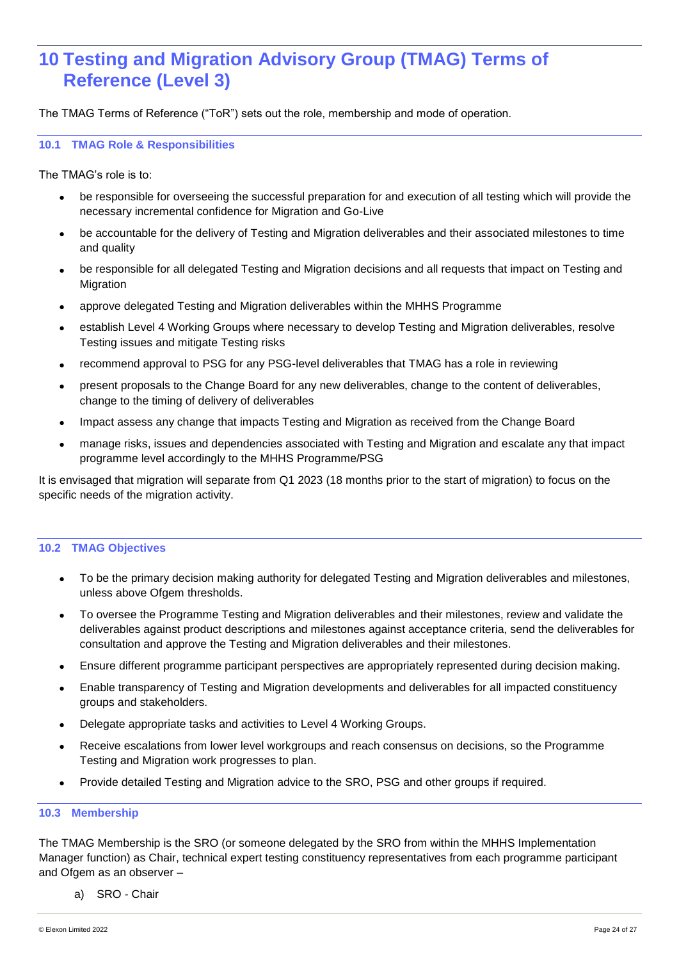### <span id="page-24-0"></span>**10 Testing and Migration Advisory Group (TMAG) Terms of Reference (Level 3)**

The TMAG Terms of Reference ("ToR") sets out the role, membership and mode of operation.

### <span id="page-24-1"></span>**10.1 TMAG Role & Responsibilities**

The TMAG's role is to:

- be responsible for overseeing the successful preparation for and execution of all testing which will provide the necessary incremental confidence for Migration and Go-Live
- be accountable for the delivery of Testing and Migration deliverables and their associated milestones to time and quality
- be responsible for all delegated Testing and Migration decisions and all requests that impact on Testing and Migration
- approve delegated Testing and Migration deliverables within the MHHS Programme
- establish Level 4 Working Groups where necessary to develop Testing and Migration deliverables, resolve Testing issues and mitigate Testing risks
- recommend approval to PSG for any PSG-level deliverables that TMAG has a role in reviewing
- present proposals to the Change Board for any new deliverables, change to the content of deliverables, change to the timing of delivery of deliverables
- Impact assess any change that impacts Testing and Migration as received from the Change Board
- manage risks, issues and dependencies associated with Testing and Migration and escalate any that impact programme level accordingly to the MHHS Programme/PSG

It is envisaged that migration will separate from Q1 2023 (18 months prior to the start of migration) to focus on the specific needs of the migration activity.

### <span id="page-24-2"></span>**10.2 TMAG Objectives**

- To be the primary decision making authority for delegated Testing and Migration deliverables and milestones, unless above Ofgem thresholds.
- To oversee the Programme Testing and Migration deliverables and their milestones, review and validate the deliverables against product descriptions and milestones against acceptance criteria, send the deliverables for consultation and approve the Testing and Migration deliverables and their milestones.
- Ensure different programme participant perspectives are appropriately represented during decision making.
- Enable transparency of Testing and Migration developments and deliverables for all impacted constituency groups and stakeholders.
- Delegate appropriate tasks and activities to Level 4 Working Groups.
- Receive escalations from lower level workgroups and reach consensus on decisions, so the Programme Testing and Migration work progresses to plan.
- Provide detailed Testing and Migration advice to the SRO, PSG and other groups if required.

### <span id="page-24-3"></span>**10.3 Membership**

The TMAG Membership is the SRO (or someone delegated by the SRO from within the MHHS Implementation Manager function) as Chair, technical expert testing constituency representatives from each programme participant and Ofgem as an observer -

a) SRO - Chair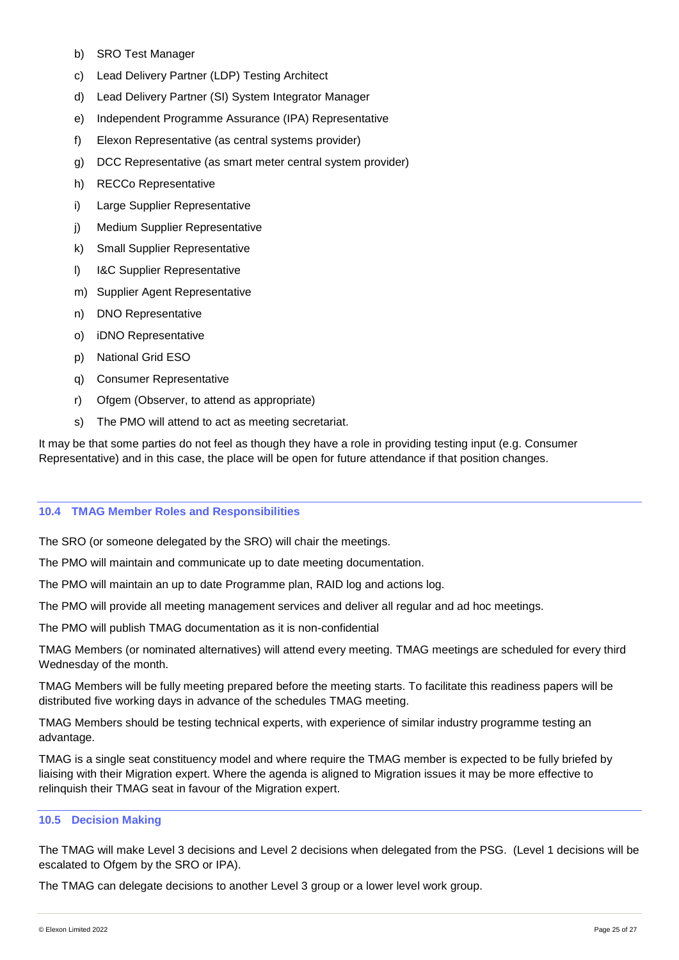- b) SRO Test Manager
- c) Lead Delivery Partner (LDP) Testing Architect
- d) Lead Delivery Partner (SI) System Integrator Manager
- e) Independent Programme Assurance (IPA) Representative
- f) Elexon Representative (as central systems provider)
- g) DCC Representative (as smart meter central system provider)
- h) RECCo Representative
- i) Large Supplier Representative
- i) Medium Supplier Representative
- k) Small Supplier Representative
- l) I&C Supplier Representative
- m) Supplier Agent Representative
- n) DNO Representative
- o) iDNO Representative
- p) National Grid ESO
- q) Consumer Representative
- r) Ofgem (Observer, to attend as appropriate)
- s) The PMO will attend to act as meeting secretariat.

It may be that some parties do not feel as though they have a role in providing testing input (e.g. Consumer Representative) and in this case, the place will be open for future attendance if that position changes.

### <span id="page-25-0"></span>**10.4 TMAG Member Roles and Responsibilities**

The SRO (or someone delegated by the SRO) will chair the meetings.

The PMO will maintain and communicate up to date meeting documentation.

The PMO will maintain an up to date Programme plan, RAID log and actions log.

The PMO will provide all meeting management services and deliver all regular and ad hoc meetings.

The PMO will publish TMAG documentation as it is non-confidential

TMAG Members (or nominated alternatives) will attend every meeting. TMAG meetings are scheduled for every third Wednesday of the month.

TMAG Members will be fully meeting prepared before the meeting starts. To facilitate this readiness papers will be distributed five working days in advance of the schedules TMAG meeting.

TMAG Members should be testing technical experts, with experience of similar industry programme testing an advantage.

TMAG is a single seat constituency model and where require the TMAG member is expected to be fully briefed by liaising with their Migration expert. Where the agenda is aligned to Migration issues it may be more effective to relinquish their TMAG seat in favour of the Migration expert.

### <span id="page-25-1"></span>**10.5 Decision Making**

The TMAG will make Level 3 decisions and Level 2 decisions when delegated from the PSG. (Level 1 decisions will be escalated to Ofgem by the SRO or IPA).

The TMAG can delegate decisions to another Level 3 group or a lower level work group.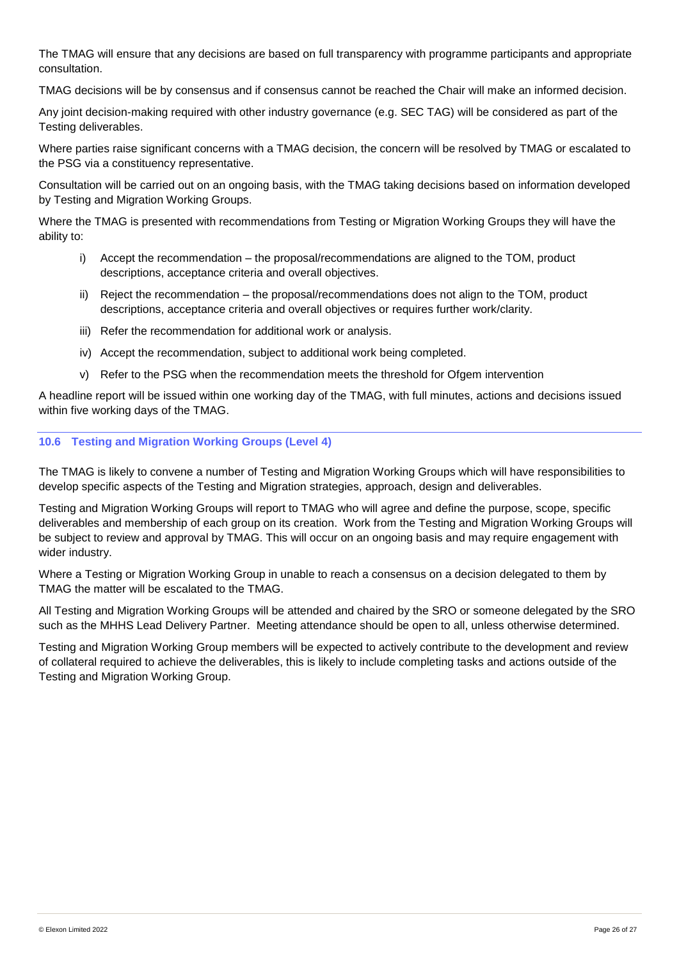The TMAG will ensure that any decisions are based on full transparency with programme participants and appropriate consultation.

TMAG decisions will be by consensus and if consensus cannot be reached the Chair will make an informed decision.

Any joint decision-making required with other industry governance (e.g. SEC TAG) will be considered as part of the Testing deliverables.

Where parties raise significant concerns with a TMAG decision, the concern will be resolved by TMAG or escalated to the PSG via a constituency representative.

Consultation will be carried out on an ongoing basis, with the TMAG taking decisions based on information developed by Testing and Migration Working Groups.

Where the TMAG is presented with recommendations from Testing or Migration Working Groups they will have the ability to:

- i) Accept the recommendation the proposal/recommendations are aligned to the TOM, product descriptions, acceptance criteria and overall objectives.
- ii) Reject the recommendation the proposal/recommendations does not align to the TOM, product descriptions, acceptance criteria and overall objectives or requires further work/clarity.
- iii) Refer the recommendation for additional work or analysis.
- iv) Accept the recommendation, subject to additional work being completed.
- v) Refer to the PSG when the recommendation meets the threshold for Ofgem intervention

A headline report will be issued within one working day of the TMAG, with full minutes, actions and decisions issued within five working days of the TMAG.

### <span id="page-26-0"></span>**10.6 Testing and Migration Working Groups (Level 4)**

The TMAG is likely to convene a number of Testing and Migration Working Groups which will have responsibilities to develop specific aspects of the Testing and Migration strategies, approach, design and deliverables.

Testing and Migration Working Groups will report to TMAG who will agree and define the purpose, scope, specific deliverables and membership of each group on its creation. Work from the Testing and Migration Working Groups will be subject to review and approval by TMAG. This will occur on an ongoing basis and may require engagement with wider industry.

Where a Testing or Migration Working Group in unable to reach a consensus on a decision delegated to them by TMAG the matter will be escalated to the TMAG.

All Testing and Migration Working Groups will be attended and chaired by the SRO or someone delegated by the SRO such as the MHHS Lead Delivery Partner. Meeting attendance should be open to all, unless otherwise determined.

Testing and Migration Working Group members will be expected to actively contribute to the development and review of collateral required to achieve the deliverables, this is likely to include completing tasks and actions outside of the Testing and Migration Working Group.